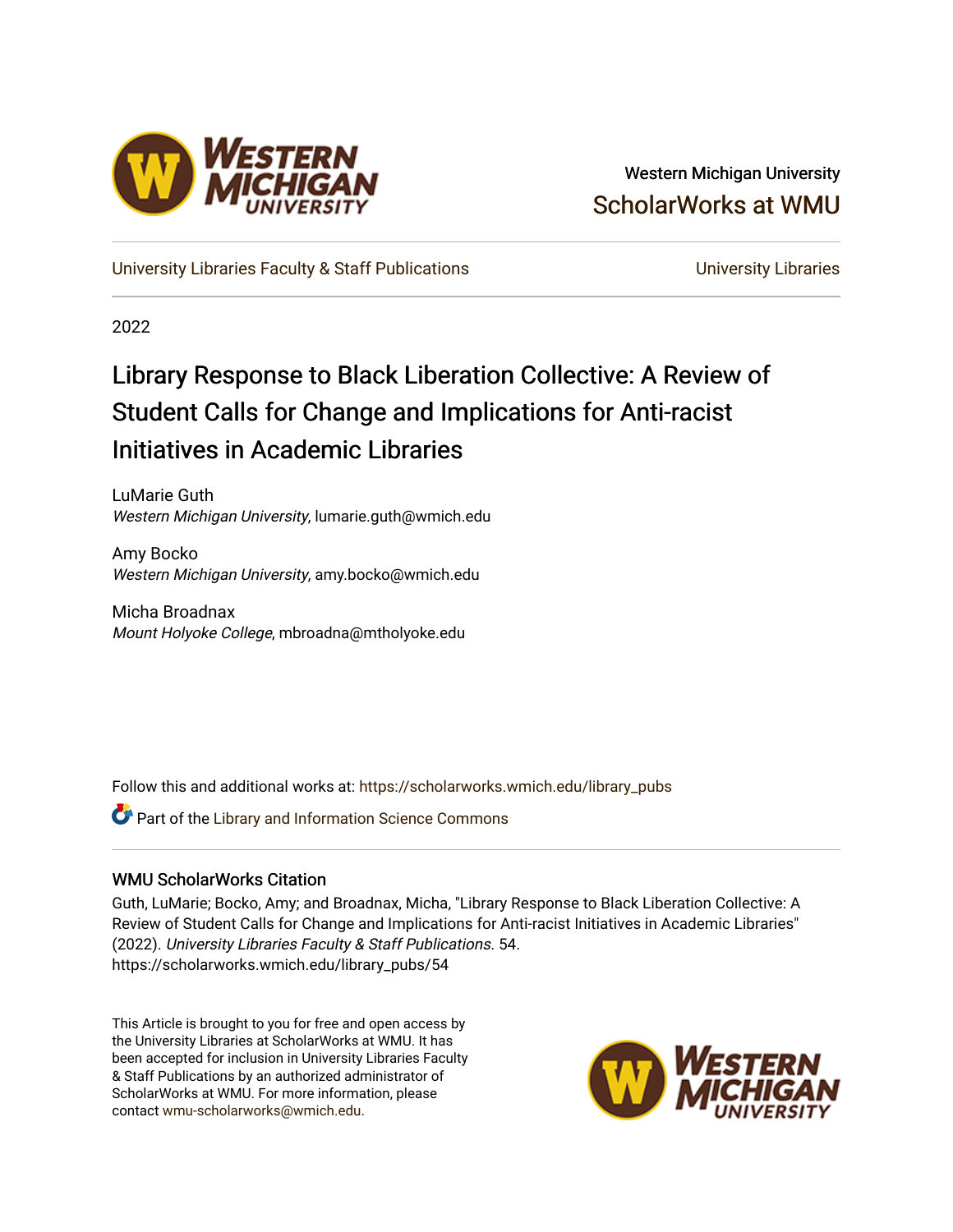

Western Michigan University [ScholarWorks at WMU](https://scholarworks.wmich.edu/) 

[University Libraries Faculty & Staff Publications](https://scholarworks.wmich.edu/library_pubs) **Exercise State Conventions** University Libraries

2022

# Library Response to Black Liberation Collective: A Review of Student Calls for Change and Implications for Anti-racist Initiatives in Academic Libraries

LuMarie Guth Western Michigan University, lumarie.guth@wmich.edu

Amy Bocko Western Michigan University, amy.bocko@wmich.edu

Micha Broadnax Mount Holyoke College, mbroadna@mtholyoke.edu

Follow this and additional works at: [https://scholarworks.wmich.edu/library\\_pubs](https://scholarworks.wmich.edu/library_pubs?utm_source=scholarworks.wmich.edu%2Flibrary_pubs%2F54&utm_medium=PDF&utm_campaign=PDFCoverPages) 

**C** Part of the Library and Information Science Commons

# WMU ScholarWorks Citation

Guth, LuMarie; Bocko, Amy; and Broadnax, Micha, "Library Response to Black Liberation Collective: A Review of Student Calls for Change and Implications for Anti-racist Initiatives in Academic Libraries" (2022). University Libraries Faculty & Staff Publications. 54. https://scholarworks.wmich.edu/library\_pubs/54

This Article is brought to you for free and open access by the University Libraries at ScholarWorks at WMU. It has been accepted for inclusion in University Libraries Faculty & Staff Publications by an authorized administrator of ScholarWorks at WMU. For more information, please contact [wmu-scholarworks@wmich.edu](mailto:wmu-scholarworks@wmich.edu).

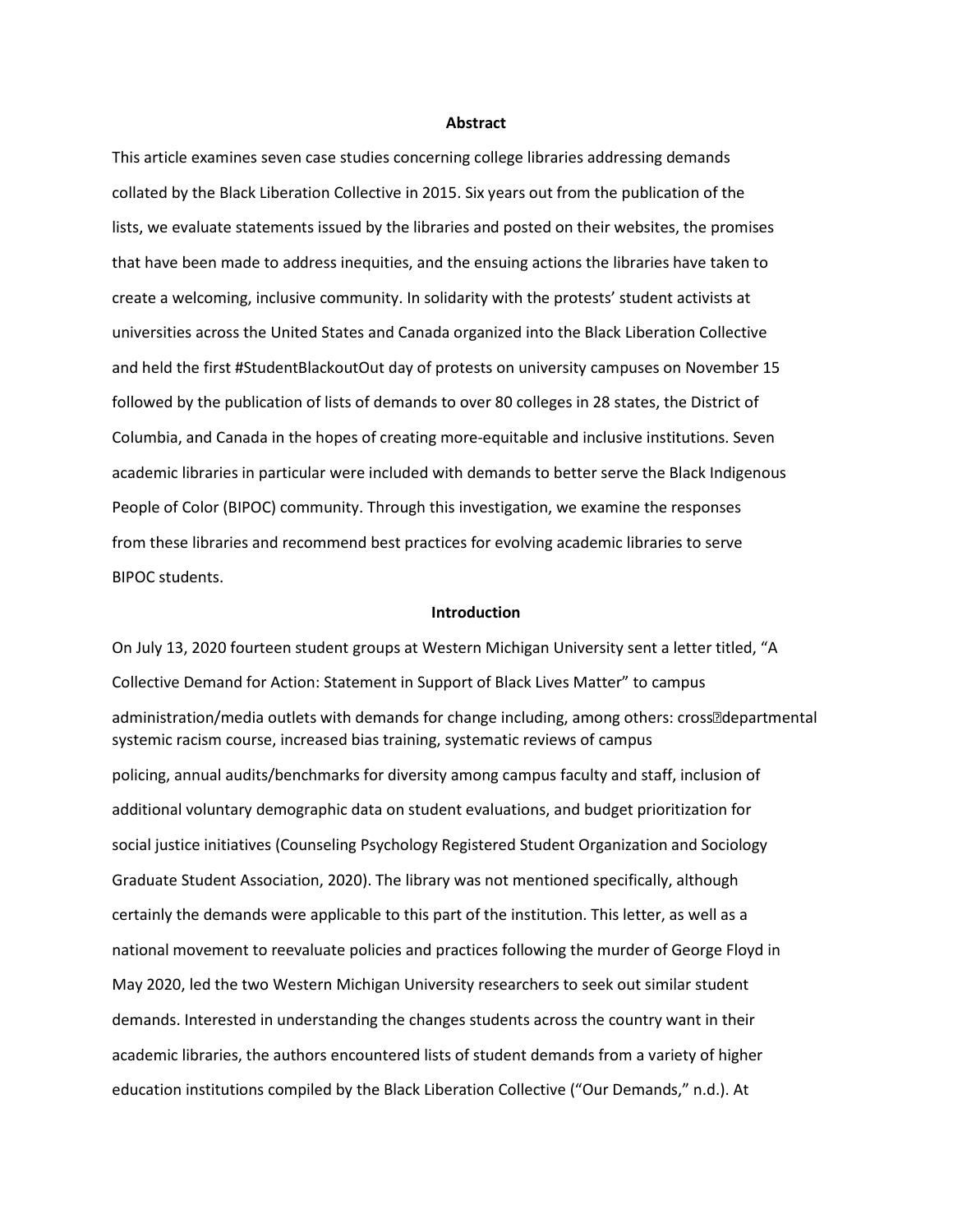#### **Abstract**

This article examines seven case studies concerning college libraries addressing demands collated by the Black Liberation Collective in 2015. Six years out from the publication of the lists, we evaluate statements issued by the libraries and posted on their websites, the promises that have been made to address inequities, and the ensuing actions the libraries have taken to create a welcoming, inclusive community. In solidarity with the protests' student activists at universities across the United States and Canada organized into the Black Liberation Collective and held the first #StudentBlackoutOut day of protests on university campuses on November 15 followed by the publication of lists of demands to over 80 colleges in 28 states, the District of Columbia, and Canada in the hopes of creating more-equitable and inclusive institutions. Seven academic libraries in particular were included with demands to better serve the Black Indigenous People of Color (BIPOC) community. Through this investigation, we examine the responses from these libraries and recommend best practices for evolving academic libraries to serve BIPOC students.

# **Introduction**

On July 13, 2020 fourteen student groups at Western Michigan University sent a letter titled, "A Collective Demand for Action: Statement in Support of Black Lives Matter" to campus administration/media outlets with demands for change including, among others: cross<sup>od</sup>epartmental systemic racism course, increased bias training, systematic reviews of campus policing, annual audits/benchmarks for diversity among campus faculty and staff, inclusion of additional voluntary demographic data on student evaluations, and budget prioritization for social justice initiatives (Counseling Psychology Registered Student Organization and Sociology Graduate Student Association, 2020). The library was not mentioned specifically, although certainly the demands were applicable to this part of the institution. This letter, as well as a national movement to reevaluate policies and practices following the murder of George Floyd in May 2020, led the two Western Michigan University researchers to seek out similar student demands. Interested in understanding the changes students across the country want in their academic libraries, the authors encountered lists of student demands from a variety of higher education institutions compiled by the Black Liberation Collective ("Our Demands," n.d.). At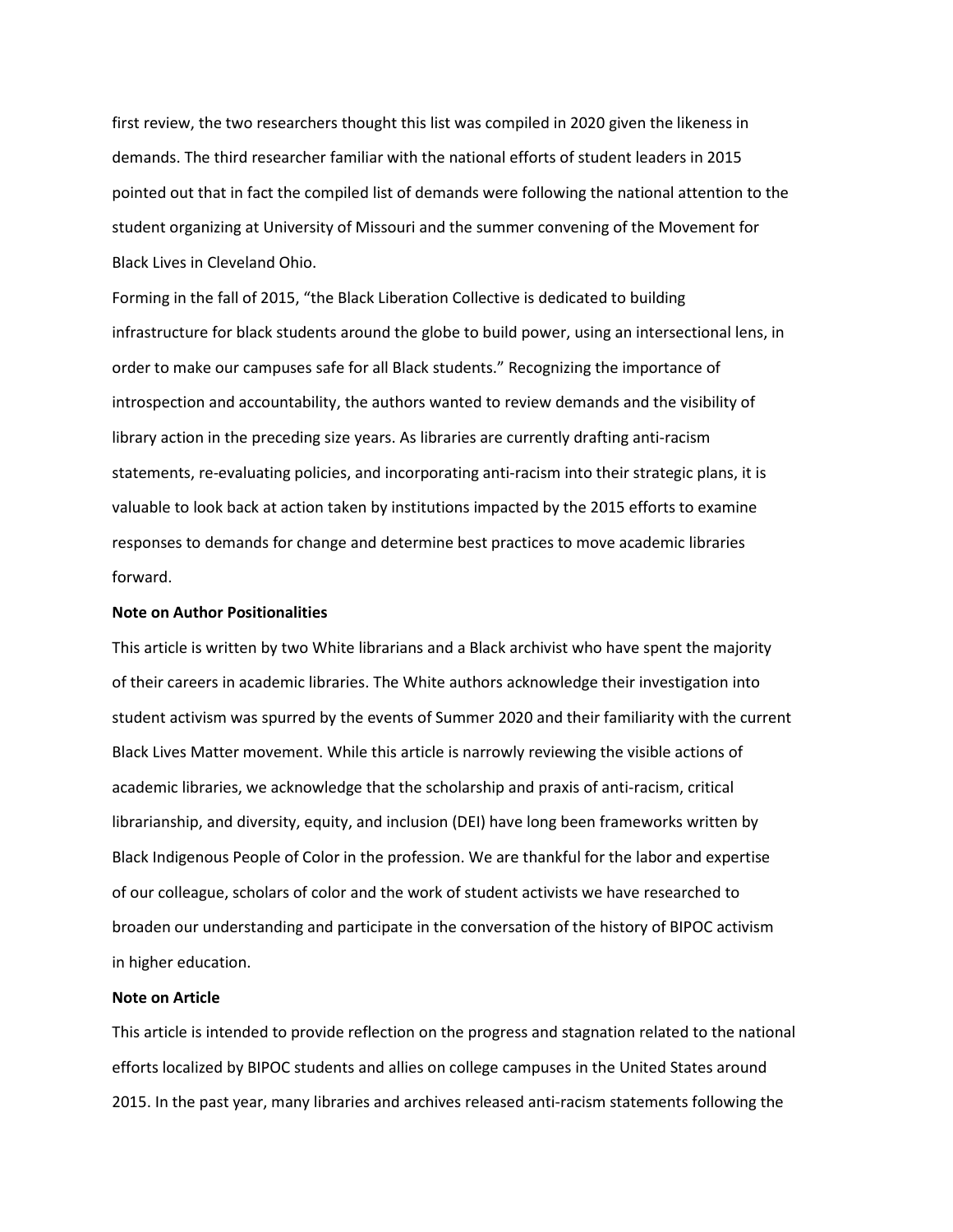first review, the two researchers thought this list was compiled in 2020 given the likeness in demands. The third researcher familiar with the national efforts of student leaders in 2015 pointed out that in fact the compiled list of demands were following the national attention to the student organizing at University of Missouri and the summer convening of the Movement for Black Lives in Cleveland Ohio.

Forming in the fall of 2015, "the Black Liberation Collective is dedicated to building infrastructure for black students around the globe to build power, using an intersectional lens, in order to make our campuses safe for all Black students." Recognizing the importance of introspection and accountability, the authors wanted to review demands and the visibility of library action in the preceding size years. As libraries are currently drafting anti-racism statements, re-evaluating policies, and incorporating anti-racism into their strategic plans, it is valuable to look back at action taken by institutions impacted by the 2015 efforts to examine responses to demands for change and determine best practices to move academic libraries forward.

# **Note on Author Positionalities**

This article is written by two White librarians and a Black archivist who have spent the majority of their careers in academic libraries. The White authors acknowledge their investigation into student activism was spurred by the events of Summer 2020 and their familiarity with the current Black Lives Matter movement. While this article is narrowly reviewing the visible actions of academic libraries, we acknowledge that the scholarship and praxis of anti-racism, critical librarianship, and diversity, equity, and inclusion (DEI) have long been frameworks written by Black Indigenous People of Color in the profession. We are thankful for the labor and expertise of our colleague, scholars of color and the work of student activists we have researched to broaden our understanding and participate in the conversation of the history of BIPOC activism in higher education.

# **Note on Article**

This article is intended to provide reflection on the progress and stagnation related to the national efforts localized by BIPOC students and allies on college campuses in the United States around 2015. In the past year, many libraries and archives released anti-racism statements following the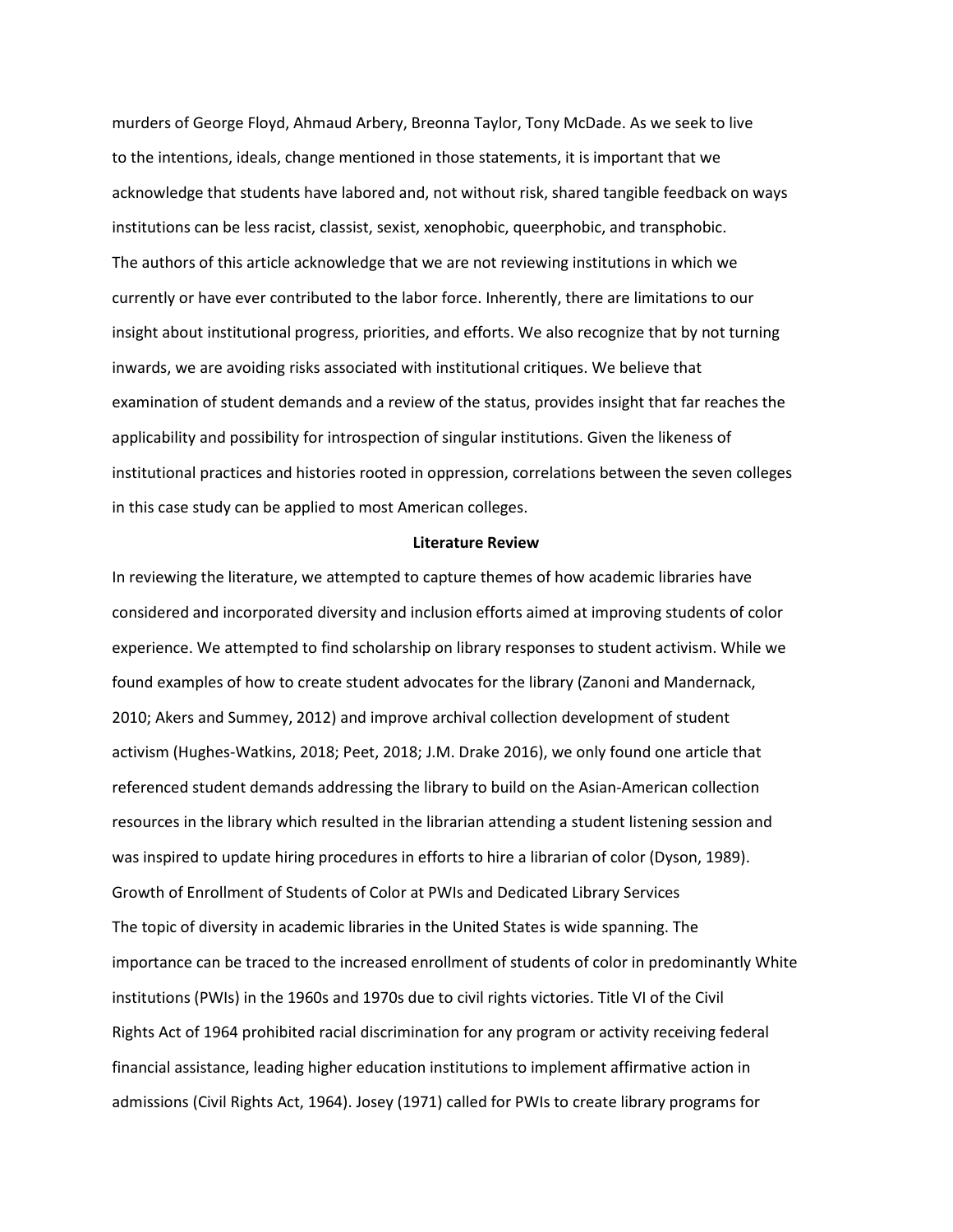murders of George Floyd, Ahmaud Arbery, Breonna Taylor, Tony McDade. As we seek to live to the intentions, ideals, change mentioned in those statements, it is important that we acknowledge that students have labored and, not without risk, shared tangible feedback on ways institutions can be less racist, classist, sexist, xenophobic, queerphobic, and transphobic. The authors of this article acknowledge that we are not reviewing institutions in which we currently or have ever contributed to the labor force. Inherently, there are limitations to our insight about institutional progress, priorities, and efforts. We also recognize that by not turning inwards, we are avoiding risks associated with institutional critiques. We believe that examination of student demands and a review of the status, provides insight that far reaches the applicability and possibility for introspection of singular institutions. Given the likeness of institutional practices and histories rooted in oppression, correlations between the seven colleges in this case study can be applied to most American colleges.

# **Literature Review**

In reviewing the literature, we attempted to capture themes of how academic libraries have considered and incorporated diversity and inclusion efforts aimed at improving students of color experience. We attempted to find scholarship on library responses to student activism. While we found examples of how to create student advocates for the library (Zanoni and Mandernack, 2010; Akers and Summey, 2012) and improve archival collection development of student activism (Hughes-Watkins, 2018; Peet, 2018; J.M. Drake 2016), we only found one article that referenced student demands addressing the library to build on the Asian-American collection resources in the library which resulted in the librarian attending a student listening session and was inspired to update hiring procedures in efforts to hire a librarian of color (Dyson, 1989). Growth of Enrollment of Students of Color at PWIs and Dedicated Library Services The topic of diversity in academic libraries in the United States is wide spanning. The importance can be traced to the increased enrollment of students of color in predominantly White institutions (PWIs) in the 1960s and 1970s due to civil rights victories. Title VI of the Civil Rights Act of 1964 prohibited racial discrimination for any program or activity receiving federal financial assistance, leading higher education institutions to implement affirmative action in admissions (Civil Rights Act, 1964). Josey (1971) called for PWIs to create library programs for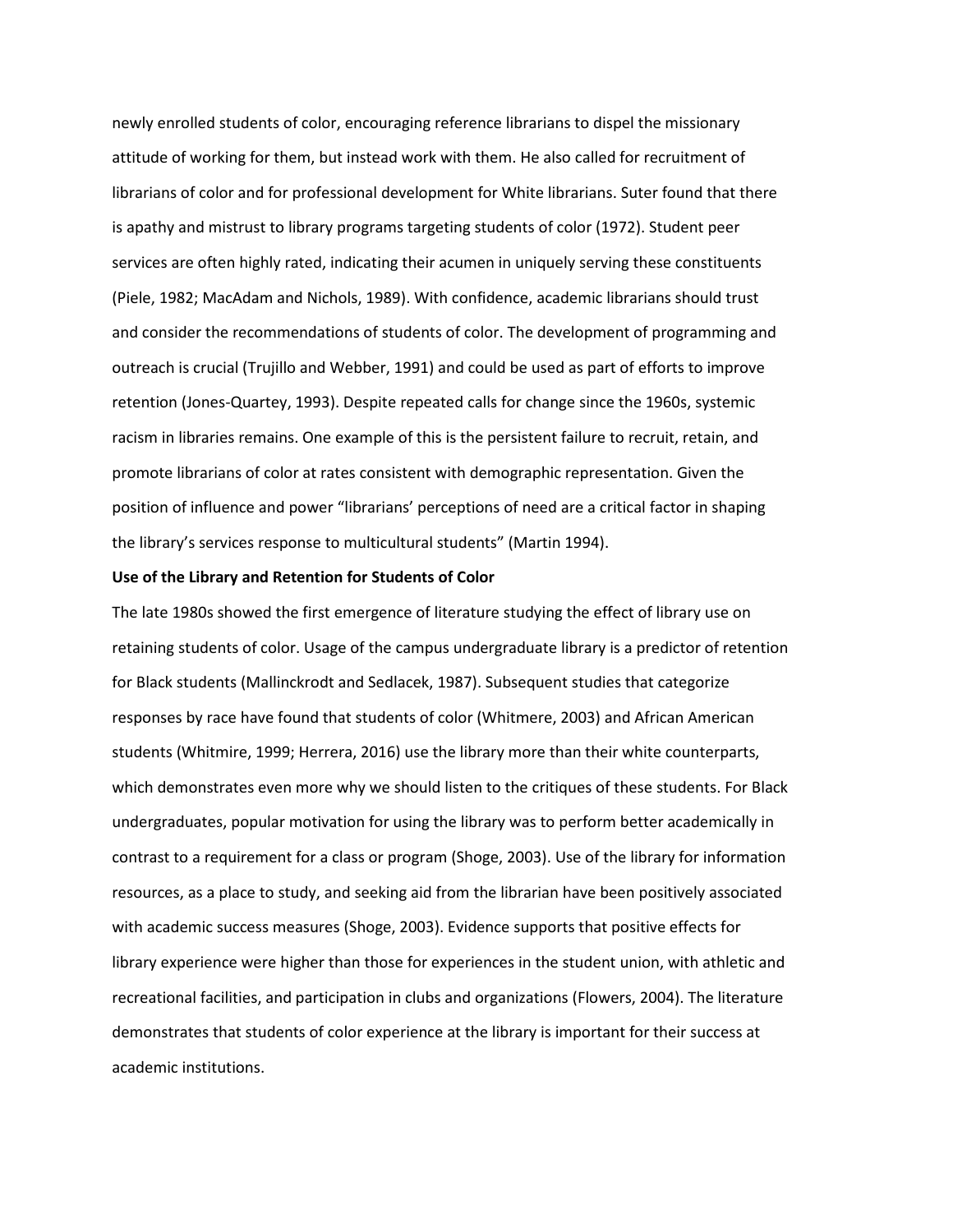newly enrolled students of color, encouraging reference librarians to dispel the missionary attitude of working for them, but instead work with them. He also called for recruitment of librarians of color and for professional development for White librarians. Suter found that there is apathy and mistrust to library programs targeting students of color (1972). Student peer services are often highly rated, indicating their acumen in uniquely serving these constituents (Piele, 1982; MacAdam and Nichols, 1989). With confidence, academic librarians should trust and consider the recommendations of students of color. The development of programming and outreach is crucial (Trujillo and Webber, 1991) and could be used as part of efforts to improve retention (Jones-Quartey, 1993). Despite repeated calls for change since the 1960s, systemic racism in libraries remains. One example of this is the persistent failure to recruit, retain, and promote librarians of color at rates consistent with demographic representation. Given the position of influence and power "librarians' perceptions of need are a critical factor in shaping the library's services response to multicultural students" (Martin 1994).

#### **Use of the Library and Retention for Students of Color**

The late 1980s showed the first emergence of literature studying the effect of library use on retaining students of color. Usage of the campus undergraduate library is a predictor of retention for Black students (Mallinckrodt and Sedlacek, 1987). Subsequent studies that categorize responses by race have found that students of color (Whitmere, 2003) and African American students (Whitmire, 1999; Herrera, 2016) use the library more than their white counterparts, which demonstrates even more why we should listen to the critiques of these students. For Black undergraduates, popular motivation for using the library was to perform better academically in contrast to a requirement for a class or program (Shoge, 2003). Use of the library for information resources, as a place to study, and seeking aid from the librarian have been positively associated with academic success measures (Shoge, 2003). Evidence supports that positive effects for library experience were higher than those for experiences in the student union, with athletic and recreational facilities, and participation in clubs and organizations (Flowers, 2004). The literature demonstrates that students of color experience at the library is important for their success at academic institutions.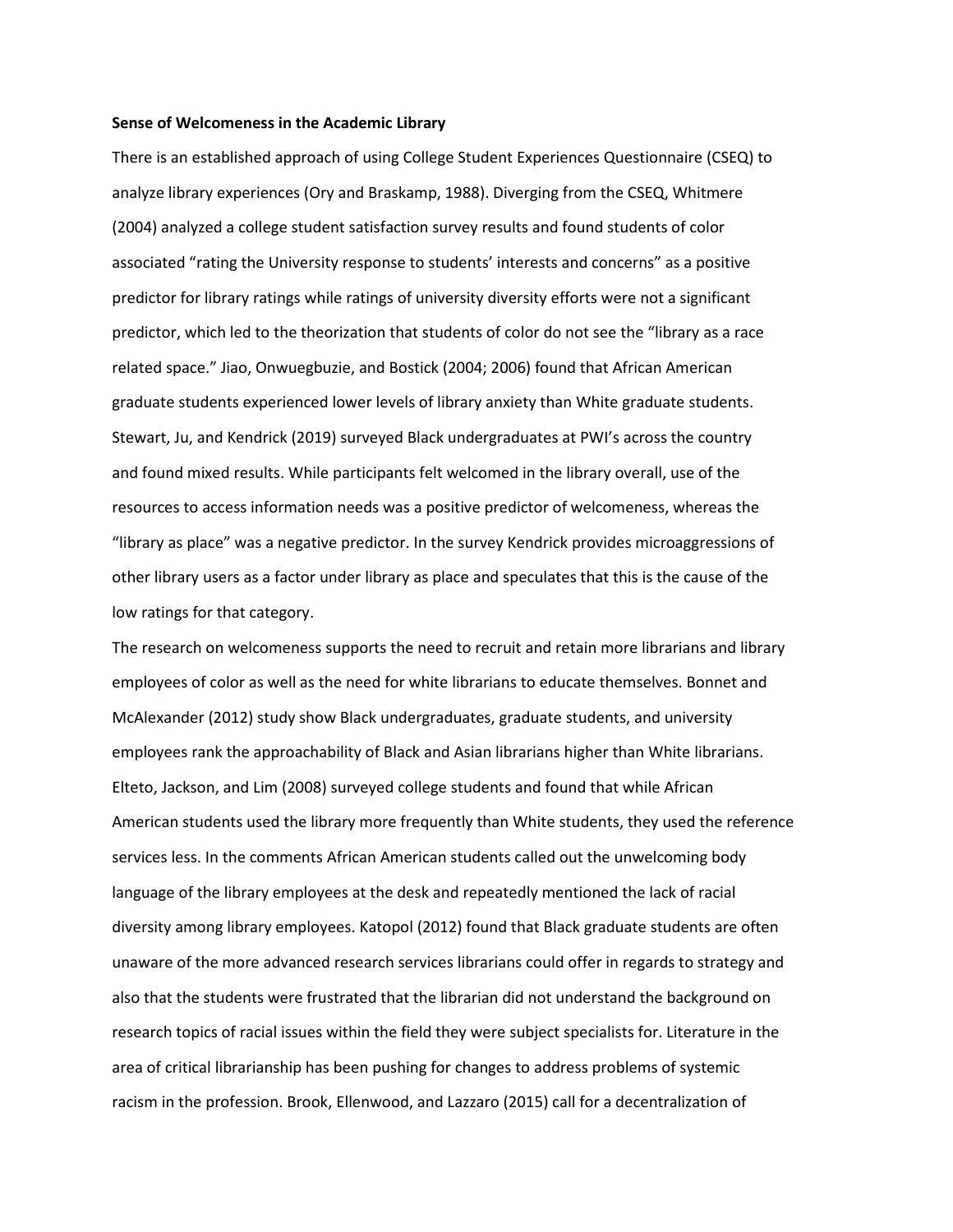#### **Sense of Welcomeness in the Academic Library**

There is an established approach of using College Student Experiences Questionnaire (CSEQ) to analyze library experiences (Ory and Braskamp, 1988). Diverging from the CSEQ, Whitmere (2004) analyzed a college student satisfaction survey results and found students of color associated "rating the University response to students' interests and concerns" as a positive predictor for library ratings while ratings of university diversity efforts were not a significant predictor, which led to the theorization that students of color do not see the "library as a race related space." Jiao, Onwuegbuzie, and Bostick (2004; 2006) found that African American graduate students experienced lower levels of library anxiety than White graduate students. Stewart, Ju, and Kendrick (2019) surveyed Black undergraduates at PWI's across the country and found mixed results. While participants felt welcomed in the library overall, use of the resources to access information needs was a positive predictor of welcomeness, whereas the "library as place" was a negative predictor. In the survey Kendrick provides microaggressions of other library users as a factor under library as place and speculates that this is the cause of the low ratings for that category.

The research on welcomeness supports the need to recruit and retain more librarians and library employees of color as well as the need for white librarians to educate themselves. Bonnet and McAlexander (2012) study show Black undergraduates, graduate students, and university employees rank the approachability of Black and Asian librarians higher than White librarians. Elteto, Jackson, and Lim (2008) surveyed college students and found that while African American students used the library more frequently than White students, they used the reference services less. In the comments African American students called out the unwelcoming body language of the library employees at the desk and repeatedly mentioned the lack of racial diversity among library employees. Katopol (2012) found that Black graduate students are often unaware of the more advanced research services librarians could offer in regards to strategy and also that the students were frustrated that the librarian did not understand the background on research topics of racial issues within the field they were subject specialists for. Literature in the area of critical librarianship has been pushing for changes to address problems of systemic racism in the profession. Brook, Ellenwood, and Lazzaro (2015) call for a decentralization of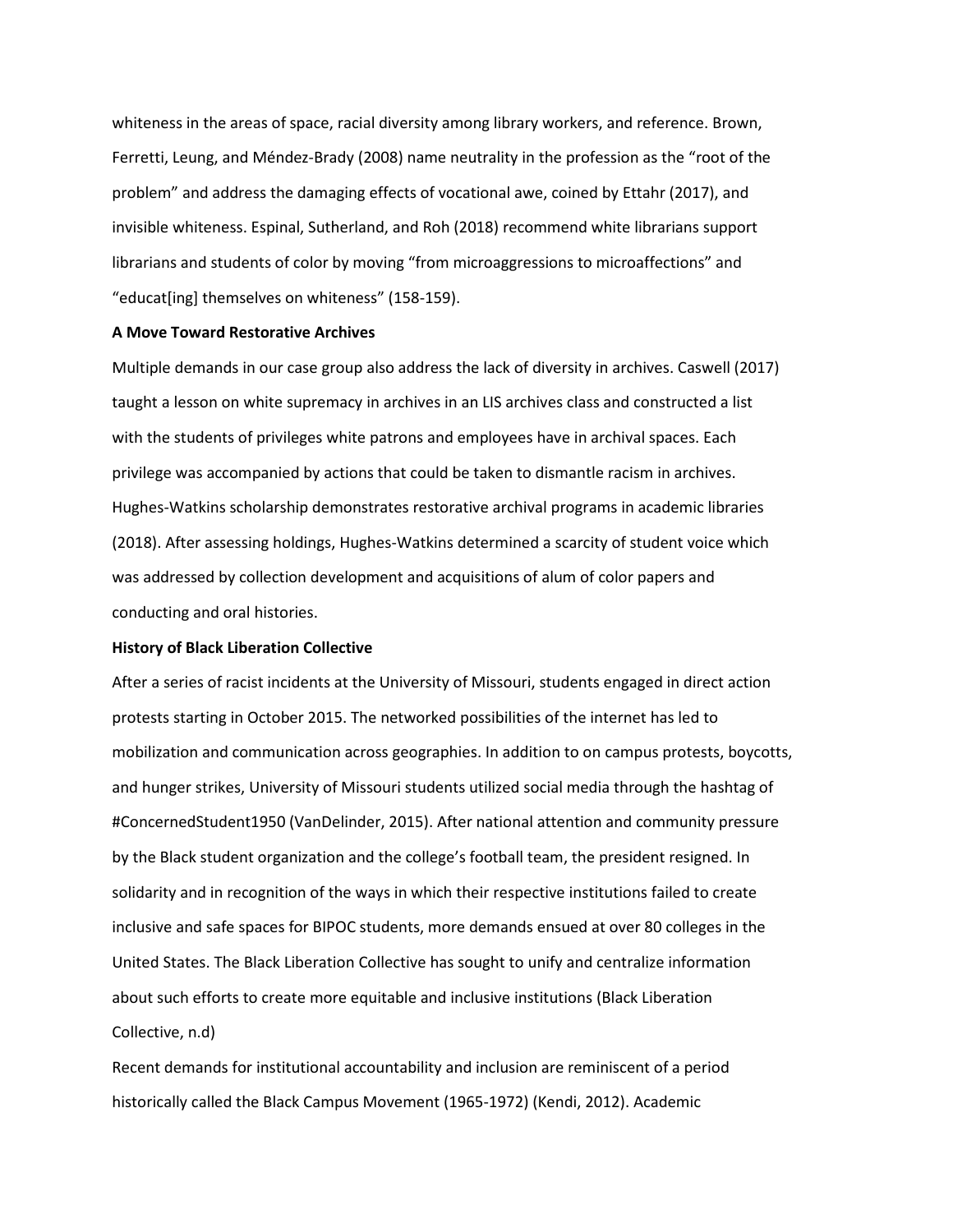whiteness in the areas of space, racial diversity among library workers, and reference. Brown, Ferretti, Leung, and Méndez-Brady (2008) name neutrality in the profession as the "root of the problem" and address the damaging effects of vocational awe, coined by Ettahr (2017), and invisible whiteness. Espinal, Sutherland, and Roh (2018) recommend white librarians support librarians and students of color by moving "from microaggressions to microaffections" and "educat[ing] themselves on whiteness" (158-159).

# **A Move Toward Restorative Archives**

Multiple demands in our case group also address the lack of diversity in archives. Caswell (2017) taught a lesson on white supremacy in archives in an LIS archives class and constructed a list with the students of privileges white patrons and employees have in archival spaces. Each privilege was accompanied by actions that could be taken to dismantle racism in archives. Hughes-Watkins scholarship demonstrates restorative archival programs in academic libraries (2018). After assessing holdings, Hughes-Watkins determined a scarcity of student voice which was addressed by collection development and acquisitions of alum of color papers and conducting and oral histories.

# **History of Black Liberation Collective**

After a series of racist incidents at the University of Missouri, students engaged in direct action protests starting in October 2015. The networked possibilities of the internet has led to mobilization and communication across geographies. In addition to on campus protests, boycotts, and hunger strikes, University of Missouri students utilized social media through the hashtag of #ConcernedStudent1950 (VanDelinder, 2015). After national attention and community pressure by the Black student organization and the college's football team, the president resigned. In solidarity and in recognition of the ways in which their respective institutions failed to create inclusive and safe spaces for BIPOC students, more demands ensued at over 80 colleges in the United States. The Black Liberation Collective has sought to unify and centralize information about such efforts to create more equitable and inclusive institutions (Black Liberation Collective, n.d)

Recent demands for institutional accountability and inclusion are reminiscent of a period historically called the Black Campus Movement (1965-1972) (Kendi, 2012). Academic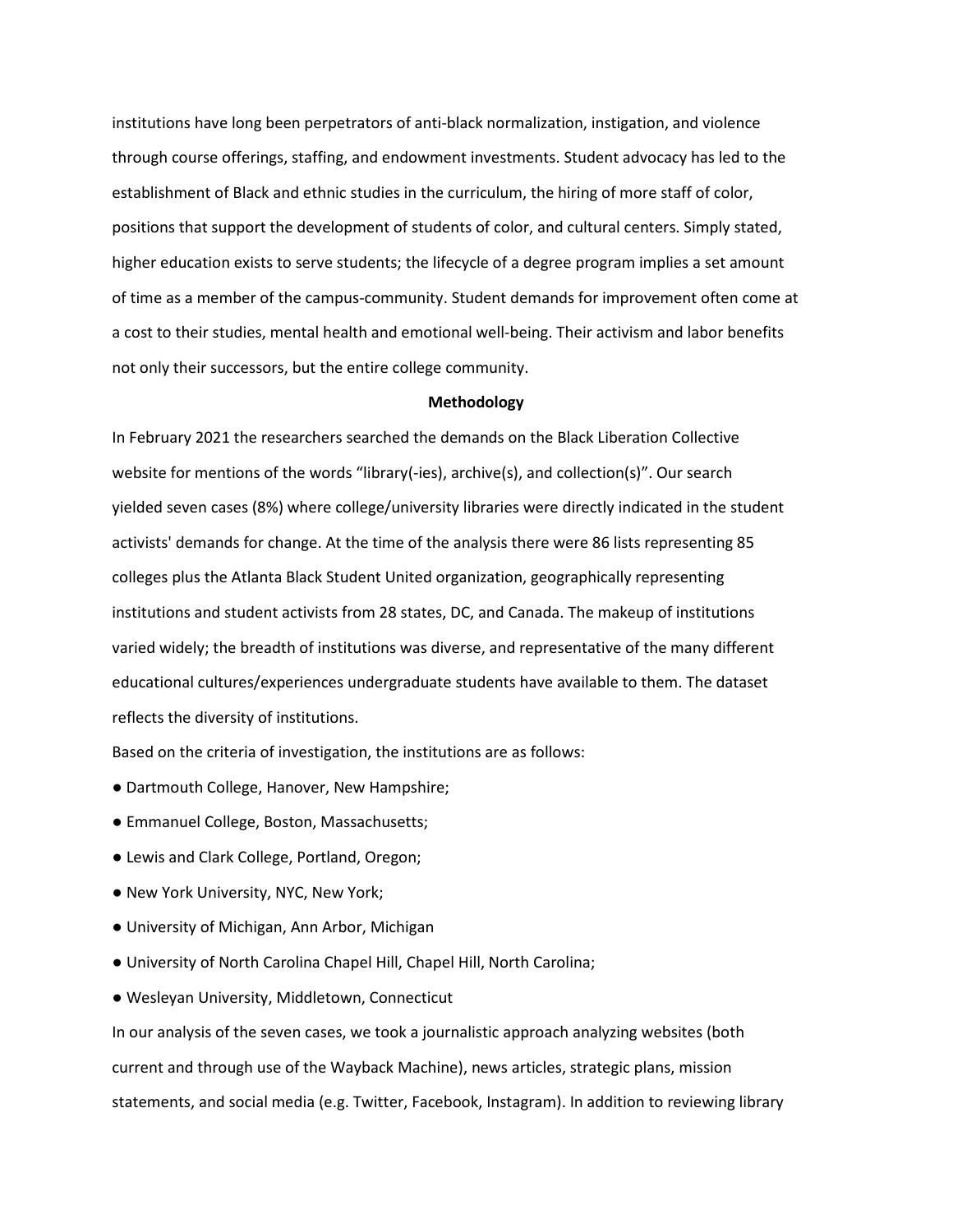institutions have long been perpetrators of anti-black normalization, instigation, and violence through course offerings, staffing, and endowment investments. Student advocacy has led to the establishment of Black and ethnic studies in the curriculum, the hiring of more staff of color, positions that support the development of students of color, and cultural centers. Simply stated, higher education exists to serve students; the lifecycle of a degree program implies a set amount of time as a member of the campus-community. Student demands for improvement often come at a cost to their studies, mental health and emotional well-being. Their activism and labor benefits not only their successors, but the entire college community.

# **Methodology**

In February 2021 the researchers searched the demands on the Black Liberation Collective website for mentions of the words "library(-ies), archive(s), and collection(s)". Our search yielded seven cases (8%) where college/university libraries were directly indicated in the student activists' demands for change. At the time of the analysis there were 86 lists representing 85 colleges plus the Atlanta Black Student United organization, geographically representing institutions and student activists from 28 states, DC, and Canada. The makeup of institutions varied widely; the breadth of institutions was diverse, and representative of the many different educational cultures/experiences undergraduate students have available to them. The dataset reflects the diversity of institutions.

Based on the criteria of investigation, the institutions are as follows:

- Dartmouth College, Hanover, New Hampshire;
- Emmanuel College, Boston, Massachusetts;
- Lewis and Clark College, Portland, Oregon;
- New York University, NYC, New York;
- University of Michigan, Ann Arbor, Michigan
- University of North Carolina Chapel Hill, Chapel Hill, North Carolina;
- Wesleyan University, Middletown, Connecticut

In our analysis of the seven cases, we took a journalistic approach analyzing websites (both current and through use of the Wayback Machine), news articles, strategic plans, mission statements, and social media (e.g. Twitter, Facebook, Instagram). In addition to reviewing library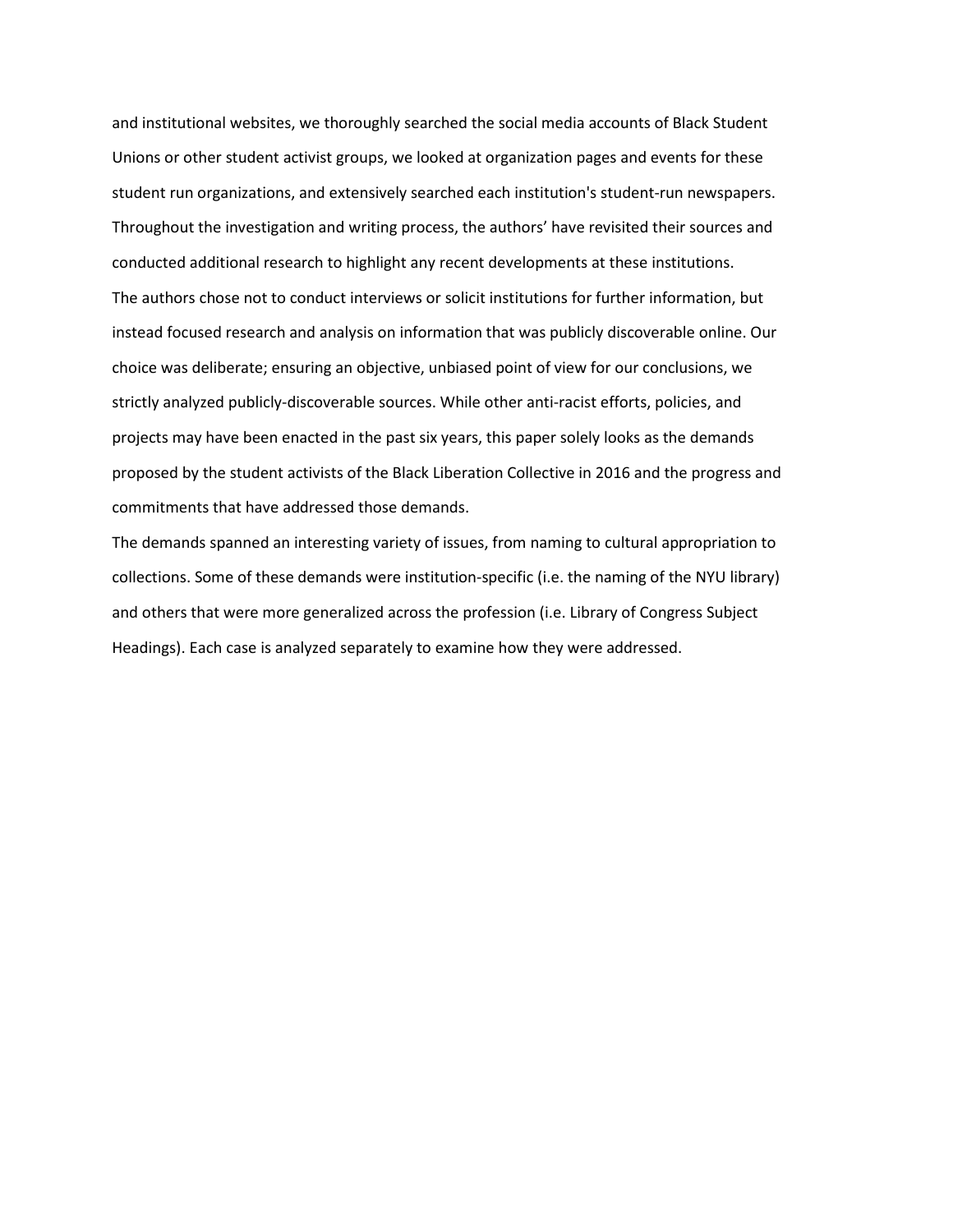and institutional websites, we thoroughly searched the social media accounts of Black Student Unions or other student activist groups, we looked at organization pages and events for these student run organizations, and extensively searched each institution's student-run newspapers. Throughout the investigation and writing process, the authors' have revisited their sources and conducted additional research to highlight any recent developments at these institutions. The authors chose not to conduct interviews or solicit institutions for further information, but instead focused research and analysis on information that was publicly discoverable online. Our choice was deliberate; ensuring an objective, unbiased point of view for our conclusions, we strictly analyzed publicly-discoverable sources. While other anti-racist efforts, policies, and projects may have been enacted in the past six years, this paper solely looks as the demands proposed by the student activists of the Black Liberation Collective in 2016 and the progress and commitments that have addressed those demands.

The demands spanned an interesting variety of issues, from naming to cultural appropriation to collections. Some of these demands were institution-specific (i.e. the naming of the NYU library) and others that were more generalized across the profession (i.e. Library of Congress Subject Headings). Each case is analyzed separately to examine how they were addressed.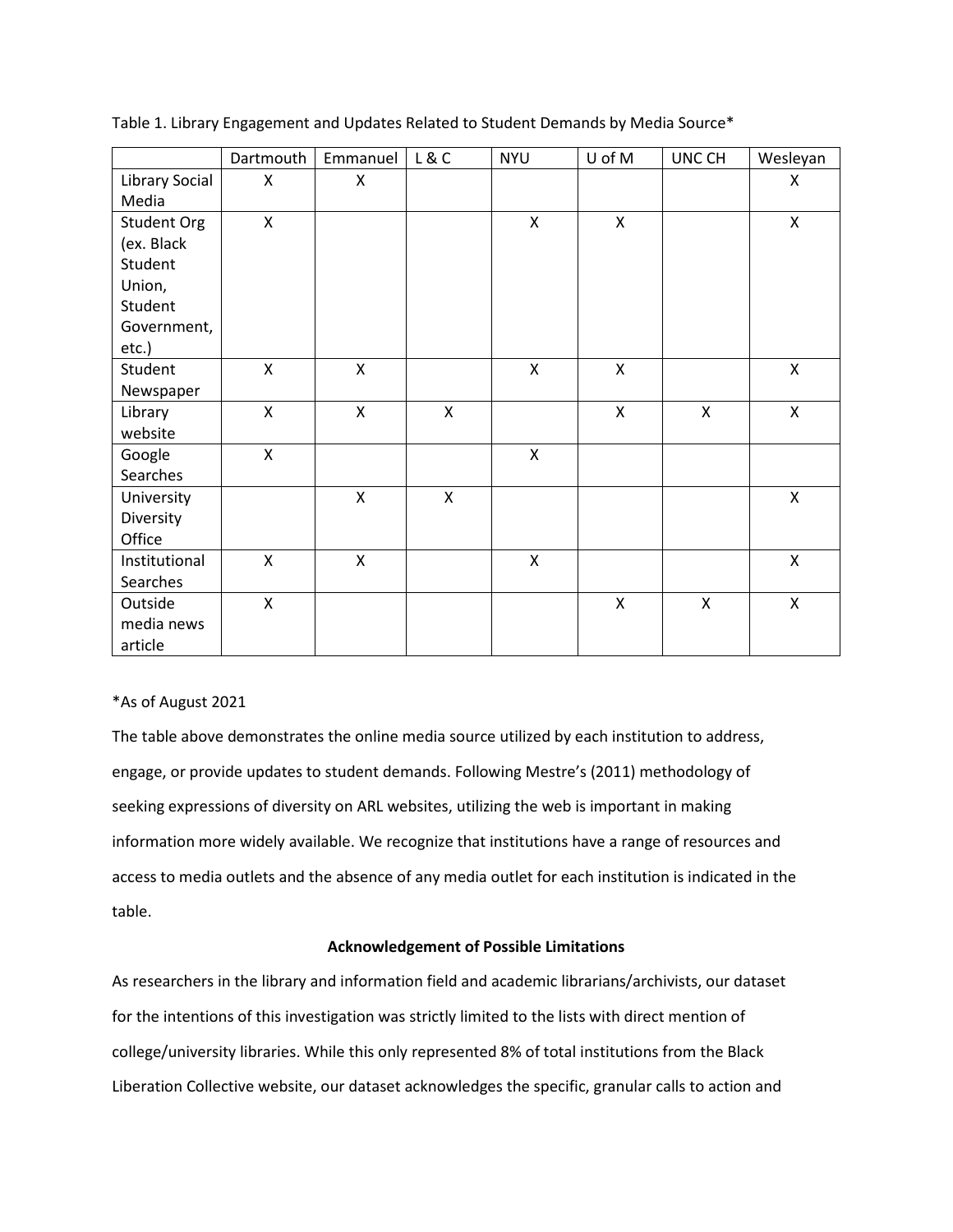|                | Dartmouth          | Emmanuel     | L & C              | <b>NYU</b>   | U of M             | UNC CH       | Wesleyan           |
|----------------|--------------------|--------------|--------------------|--------------|--------------------|--------------|--------------------|
| Library Social | X                  | X            |                    |              |                    |              | X                  |
| Media          |                    |              |                    |              |                    |              |                    |
| Student Org    | $\mathsf{X}$       |              |                    | $\mathsf{X}$ | $\mathsf{x}$       |              | $\pmb{\mathsf{X}}$ |
| (ex. Black     |                    |              |                    |              |                    |              |                    |
| Student        |                    |              |                    |              |                    |              |                    |
| Union,         |                    |              |                    |              |                    |              |                    |
| Student        |                    |              |                    |              |                    |              |                    |
| Government,    |                    |              |                    |              |                    |              |                    |
| etc.)          |                    |              |                    |              |                    |              |                    |
| Student        | X                  | X            |                    | X            | X                  |              | X                  |
| Newspaper      |                    |              |                    |              |                    |              |                    |
| Library        | $\pmb{\mathsf{X}}$ | X            | $\pmb{\mathsf{X}}$ |              | $\pmb{\mathsf{X}}$ | $\mathsf{x}$ | $\pmb{\mathsf{X}}$ |
| website        |                    |              |                    |              |                    |              |                    |
| Google         | $\pmb{\mathsf{X}}$ |              |                    | $\mathsf{X}$ |                    |              |                    |
| Searches       |                    |              |                    |              |                    |              |                    |
| University     |                    | $\mathsf{X}$ | $\mathsf{x}$       |              |                    |              | $\pmb{\mathsf{X}}$ |
| Diversity      |                    |              |                    |              |                    |              |                    |
| Office         |                    |              |                    |              |                    |              |                    |
| Institutional  | X                  | X            |                    | X            |                    |              | X                  |
| Searches       |                    |              |                    |              |                    |              |                    |
| Outside        | X                  |              |                    |              | Χ                  | X            | $\pmb{\mathsf{X}}$ |
| media news     |                    |              |                    |              |                    |              |                    |
| article        |                    |              |                    |              |                    |              |                    |

Table 1. Library Engagement and Updates Related to Student Demands by Media Source\*

# \*As of August 2021

The table above demonstrates the online media source utilized by each institution to address, engage, or provide updates to student demands. Following Mestre's (2011) methodology of seeking expressions of diversity on ARL websites, utilizing the web is important in making information more widely available. We recognize that institutions have a range of resources and access to media outlets and the absence of any media outlet for each institution is indicated in the table.

# **Acknowledgement of Possible Limitations**

As researchers in the library and information field and academic librarians/archivists, our dataset for the intentions of this investigation was strictly limited to the lists with direct mention of college/university libraries. While this only represented 8% of total institutions from the Black Liberation Collective website, our dataset acknowledges the specific, granular calls to action and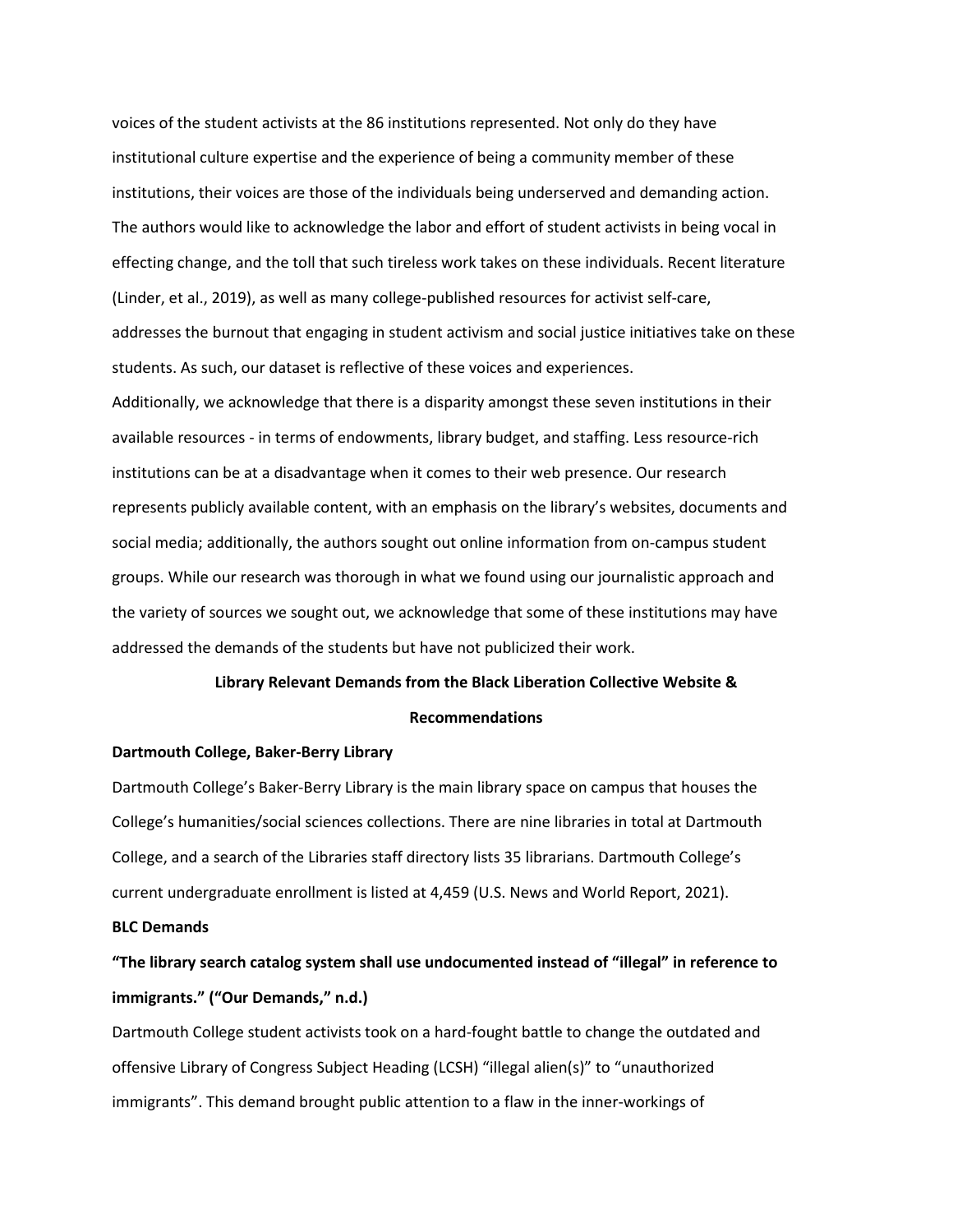voices of the student activists at the 86 institutions represented. Not only do they have institutional culture expertise and the experience of being a community member of these institutions, their voices are those of the individuals being underserved and demanding action. The authors would like to acknowledge the labor and effort of student activists in being vocal in effecting change, and the toll that such tireless work takes on these individuals. Recent literature (Linder, et al., 2019), as well as many college-published resources for activist self-care, addresses the burnout that engaging in student activism and social justice initiatives take on these students. As such, our dataset is reflective of these voices and experiences. Additionally, we acknowledge that there is a disparity amongst these seven institutions in their available resources - in terms of endowments, library budget, and staffing. Less resource-rich institutions can be at a disadvantage when it comes to their web presence. Our research represents publicly available content, with an emphasis on the library's websites, documents and social media; additionally, the authors sought out online information from on-campus student groups. While our research was thorough in what we found using our journalistic approach and the variety of sources we sought out, we acknowledge that some of these institutions may have addressed the demands of the students but have not publicized their work.

# **Library Relevant Demands from the Black Liberation Collective Website & Recommendations**

# **Dartmouth College, Baker-Berry Library**

Dartmouth College's Baker-Berry Library is the main library space on campus that houses the College's humanities/social sciences collections. There are nine libraries in total at Dartmouth College, and a search of the Libraries staff directory lists 35 librarians. Dartmouth College's current undergraduate enrollment is listed at 4,459 (U.S. News and World Report, 2021).

# **BLC Demands**

# **"The library search catalog system shall use undocumented instead of "illegal" in reference to immigrants." ("Our Demands," n.d.)**

Dartmouth College student activists took on a hard-fought battle to change the outdated and offensive Library of Congress Subject Heading (LCSH) "illegal alien(s)" to "unauthorized immigrants". This demand brought public attention to a flaw in the inner-workings of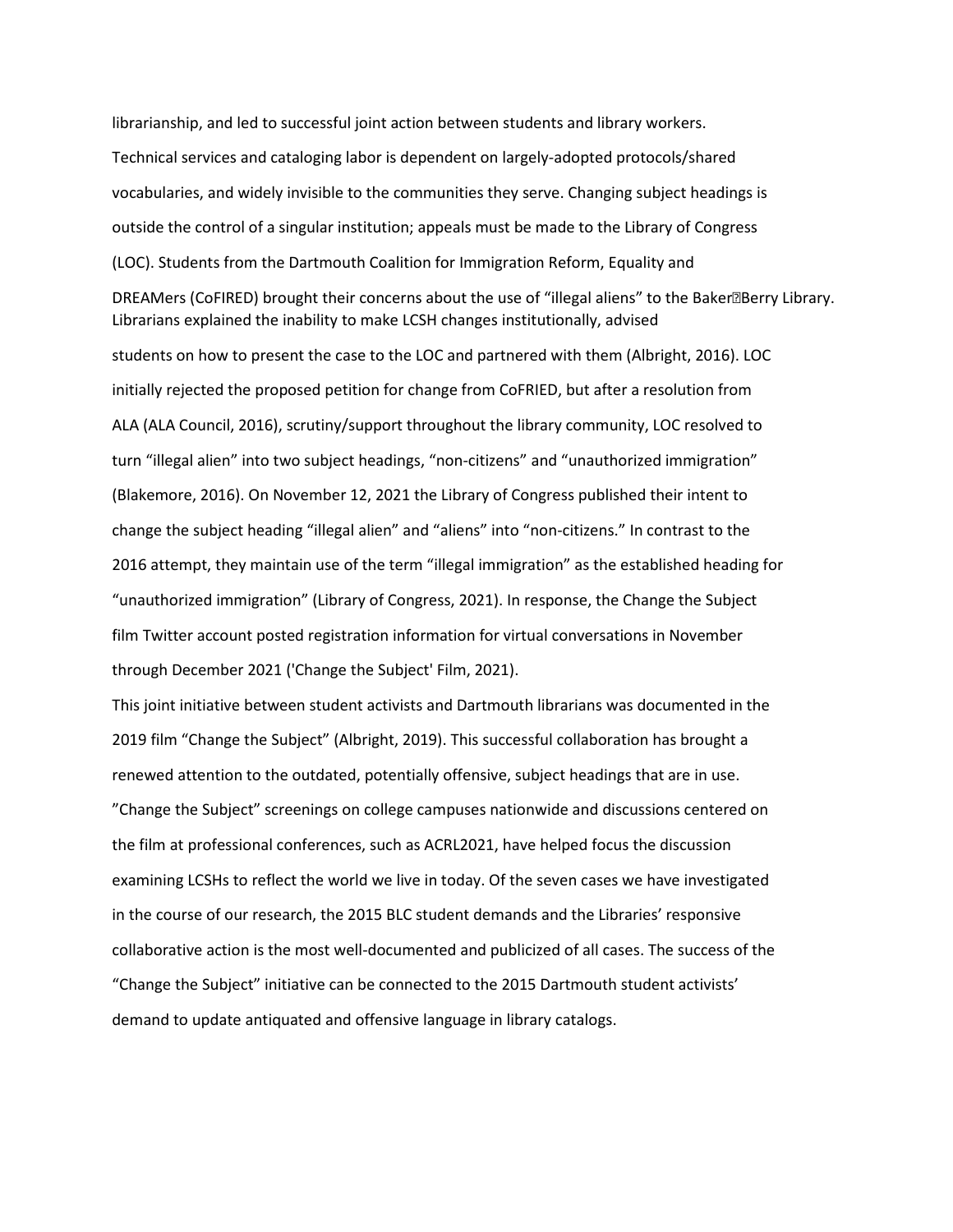librarianship, and led to successful joint action between students and library workers. Technical services and cataloging labor is dependent on largely-adopted protocols/shared vocabularies, and widely invisible to the communities they serve. Changing subject headings is outside the control of a singular institution; appeals must be made to the Library of Congress (LOC). Students from the Dartmouth Coalition for Immigration Reform, Equality and DREAMers (CoFIRED) brought their concerns about the use of "illegal aliens" to the Baker<sup>a</sup>Berry Library. Librarians explained the inability to make LCSH changes institutionally, advised students on how to present the case to the LOC and partnered with them (Albright, 2016). LOC initially rejected the proposed petition for change from CoFRIED, but after a resolution from ALA (ALA Council, 2016), scrutiny/support throughout the library community, LOC resolved to turn "illegal alien" into two subject headings, "non-citizens" and "unauthorized immigration" (Blakemore, 2016). On November 12, 2021 the Library of Congress published their intent to change the subject heading "illegal alien" and "aliens" into "non-citizens." In contrast to the 2016 attempt, they maintain use of the term "illegal immigration" as the established heading for "unauthorized immigration" (Library of Congress, 2021). In response, the Change the Subject film Twitter account posted registration information for virtual conversations in November through December 2021 ('Change the Subject' Film, 2021).

This joint initiative between student activists and Dartmouth librarians was documented in the 2019 film "Change the Subject" (Albright, 2019). This successful collaboration has brought a renewed attention to the outdated, potentially offensive, subject headings that are in use. "Change the Subject" screenings on college campuses nationwide and discussions centered on the film at professional conferences, such as ACRL2021, have helped focus the discussion examining LCSHs to reflect the world we live in today. Of the seven cases we have investigated in the course of our research, the 2015 BLC student demands and the Libraries' responsive collaborative action is the most well-documented and publicized of all cases. The success of the "Change the Subject" initiative can be connected to the 2015 Dartmouth student activists' demand to update antiquated and offensive language in library catalogs.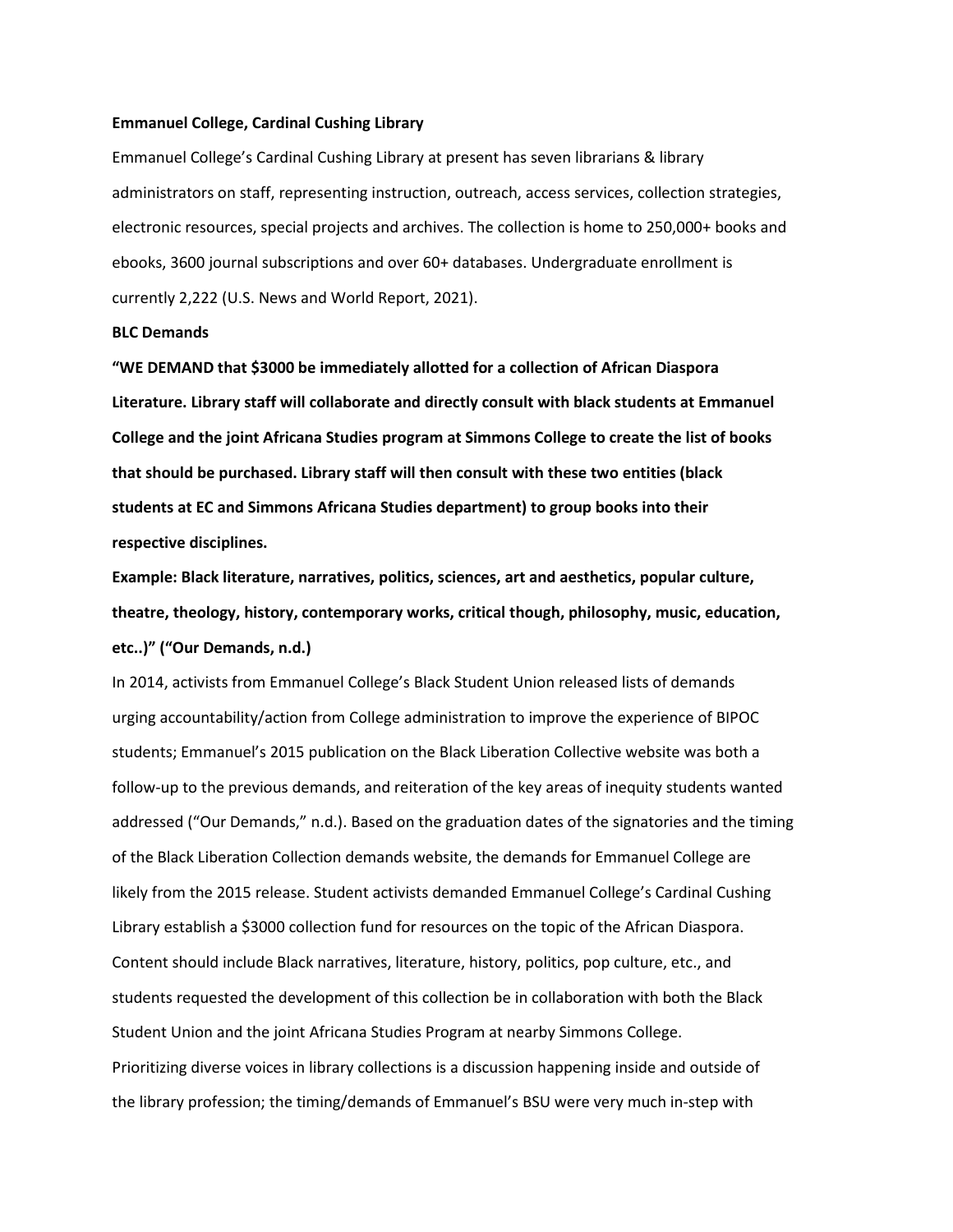#### **Emmanuel College, Cardinal Cushing Library**

Emmanuel College's Cardinal Cushing Library at present has seven librarians & library administrators on staff, representing instruction, outreach, access services, collection strategies, electronic resources, special projects and archives. The collection is home to 250,000+ books and ebooks, 3600 journal subscriptions and over 60+ databases. Undergraduate enrollment is currently 2,222 (U.S. News and World Report, 2021).

# **BLC Demands**

**"WE DEMAND that \$3000 be immediately allotted for a collection of African Diaspora Literature. Library staff will collaborate and directly consult with black students at Emmanuel College and the joint Africana Studies program at Simmons College to create the list of books that should be purchased. Library staff will then consult with these two entities (black students at EC and Simmons Africana Studies department) to group books into their respective disciplines.** 

**Example: Black literature, narratives, politics, sciences, art and aesthetics, popular culture, theatre, theology, history, contemporary works, critical though, philosophy, music, education, etc..)" ("Our Demands, n.d.)**

In 2014, activists from Emmanuel College's Black Student Union released lists of demands urging accountability/action from College administration to improve the experience of BIPOC students; Emmanuel's 2015 publication on the Black Liberation Collective website was both a follow-up to the previous demands, and reiteration of the key areas of inequity students wanted addressed ("Our Demands," n.d.). Based on the graduation dates of the signatories and the timing of the Black Liberation Collection demands website, the demands for Emmanuel College are likely from the 2015 release. Student activists demanded Emmanuel College's Cardinal Cushing Library establish a \$3000 collection fund for resources on the topic of the African Diaspora. Content should include Black narratives, literature, history, politics, pop culture, etc., and students requested the development of this collection be in collaboration with both the Black Student Union and the joint Africana Studies Program at nearby Simmons College. Prioritizing diverse voices in library collections is a discussion happening inside and outside of the library profession; the timing/demands of Emmanuel's BSU were very much in-step with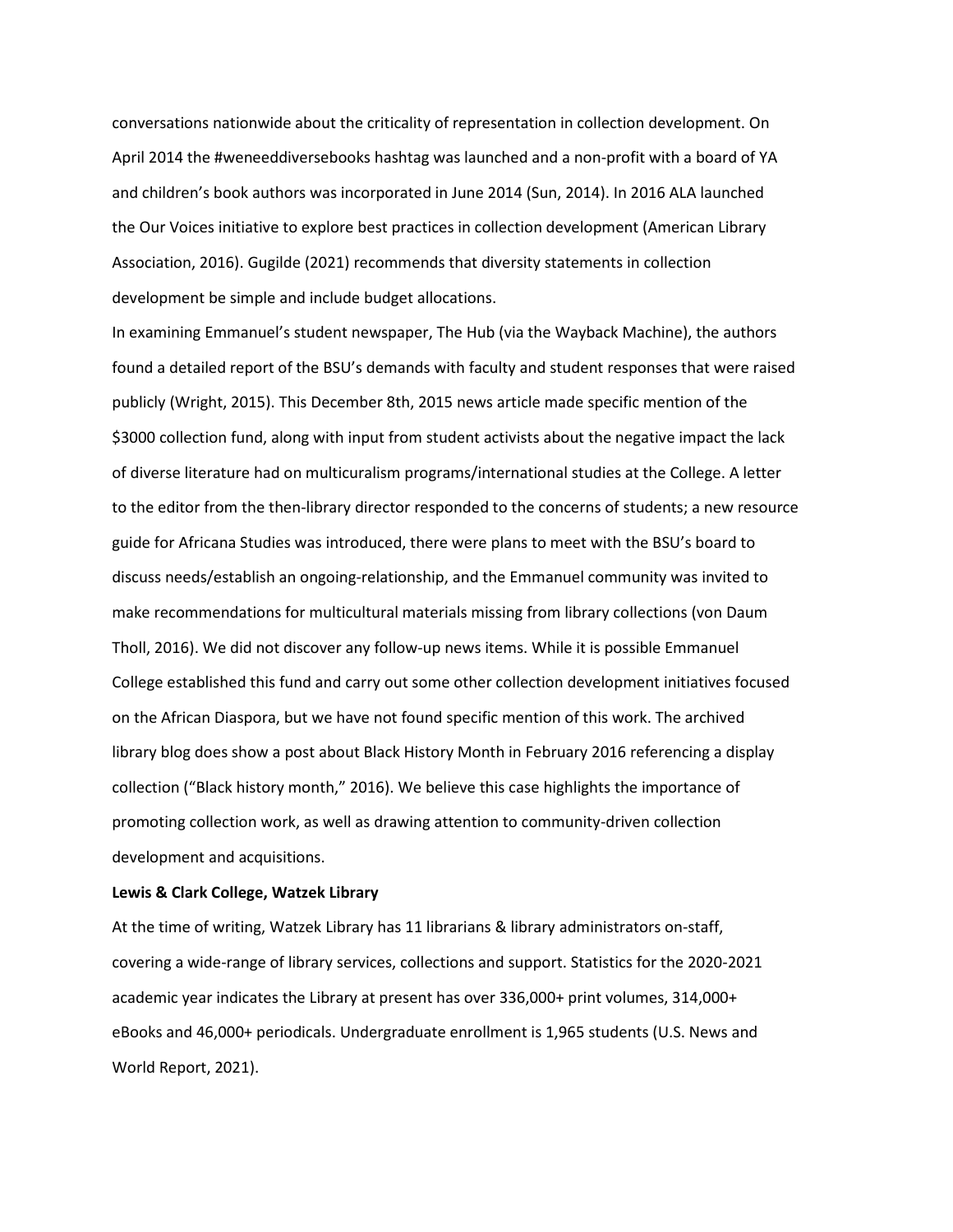conversations nationwide about the criticality of representation in collection development. On April 2014 the #weneeddiversebooks hashtag was launched and a non-profit with a board of YA and children's book authors was incorporated in June 2014 (Sun, 2014). In 2016 ALA launched the Our Voices initiative to explore best practices in collection development (American Library Association, 2016). Gugilde (2021) recommends that diversity statements in collection development be simple and include budget allocations.

In examining Emmanuel's student newspaper, The Hub (via the Wayback Machine), the authors found a detailed report of the BSU's demands with faculty and student responses that were raised publicly (Wright, 2015). This December 8th, 2015 news article made specific mention of the \$3000 collection fund, along with input from student activists about the negative impact the lack of diverse literature had on multicuralism programs/international studies at the College. A letter to the editor from the then-library director responded to the concerns of students; a new resource guide for Africana Studies was introduced, there were plans to meet with the BSU's board to discuss needs/establish an ongoing-relationship, and the Emmanuel community was invited to make recommendations for multicultural materials missing from library collections (von Daum Tholl, 2016). We did not discover any follow-up news items. While it is possible Emmanuel College established this fund and carry out some other collection development initiatives focused on the African Diaspora, but we have not found specific mention of this work. The archived library blog does show a post about Black History Month in February 2016 referencing a display collection ("Black history month," 2016). We believe this case highlights the importance of promoting collection work, as well as drawing attention to community-driven collection development and acquisitions.

# **Lewis & Clark College, Watzek Library**

At the time of writing, Watzek Library has 11 librarians & library administrators on-staff, covering a wide-range of library services, collections and support. Statistics for the 2020-2021 academic year indicates the Library at present has over 336,000+ print volumes, 314,000+ eBooks and 46,000+ periodicals. Undergraduate enrollment is 1,965 students (U.S. News and World Report, 2021).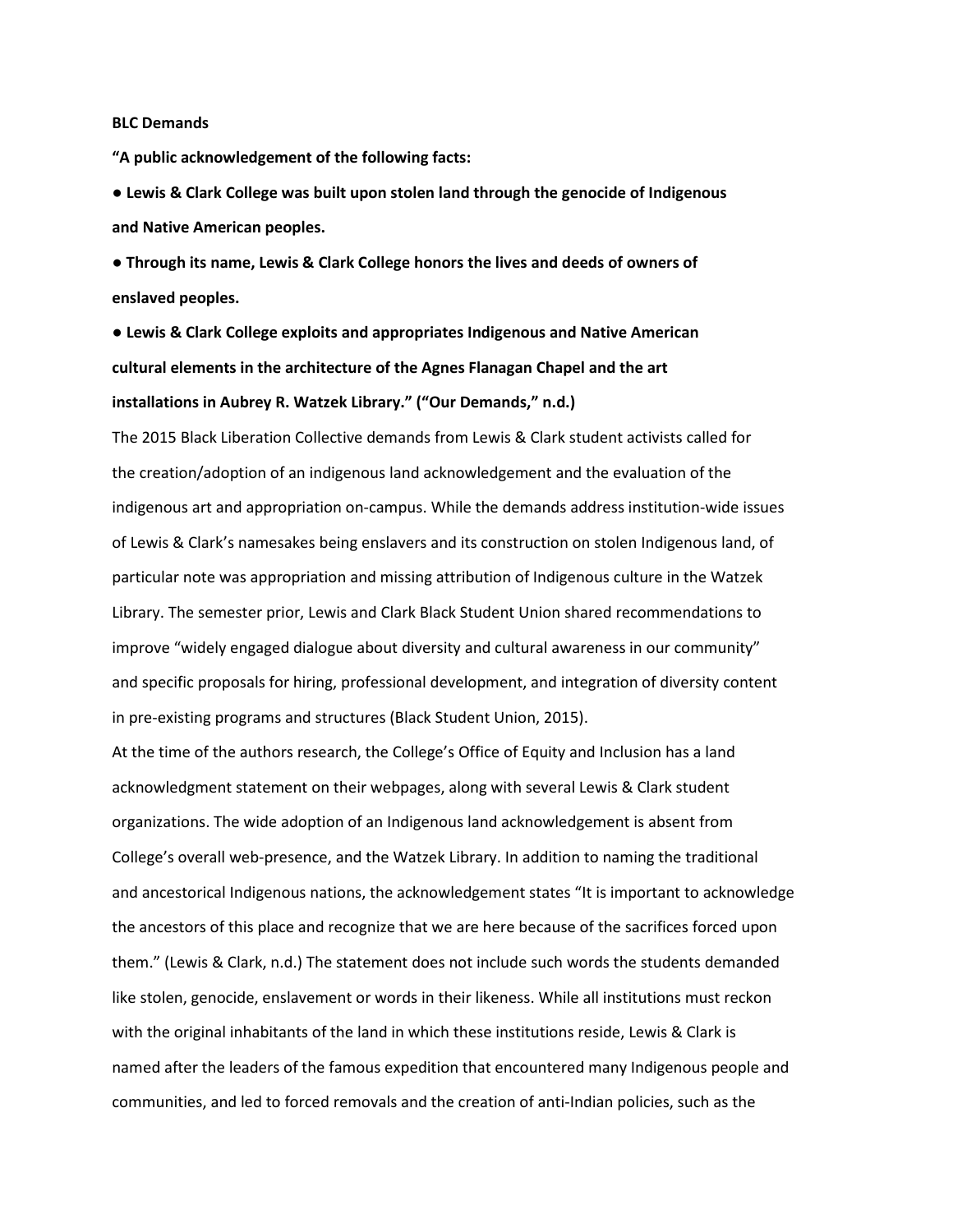#### **BLC Demands**

**"A public acknowledgement of the following facts:** 

**● Lewis & Clark College was built upon stolen land through the genocide of Indigenous and Native American peoples.**

**● Through its name, Lewis & Clark College honors the lives and deeds of owners of enslaved peoples.**

**● Lewis & Clark College exploits and appropriates Indigenous and Native American cultural elements in the architecture of the Agnes Flanagan Chapel and the art installations in Aubrey R. Watzek Library." ("Our Demands," n.d.)**

The 2015 Black Liberation Collective demands from Lewis & Clark student activists called for the creation/adoption of an indigenous land acknowledgement and the evaluation of the indigenous art and appropriation on-campus. While the demands address institution-wide issues of Lewis & Clark's namesakes being enslavers and its construction on stolen Indigenous land, of particular note was appropriation and missing attribution of Indigenous culture in the Watzek Library. The semester prior, Lewis and Clark Black Student Union shared recommendations to improve "widely engaged dialogue about diversity and cultural awareness in our community" and specific proposals for hiring, professional development, and integration of diversity content in pre-existing programs and structures (Black Student Union, 2015).

At the time of the authors research, the College's Office of Equity and Inclusion has a land acknowledgment statement on their webpages, along with several Lewis & Clark student organizations. The wide adoption of an Indigenous land acknowledgement is absent from College's overall web-presence, and the Watzek Library. In addition to naming the traditional and ancestorical Indigenous nations, the acknowledgement states "It is important to acknowledge the ancestors of this place and recognize that we are here because of the sacrifices forced upon them." (Lewis & Clark, n.d.) The statement does not include such words the students demanded like stolen, genocide, enslavement or words in their likeness. While all institutions must reckon with the original inhabitants of the land in which these institutions reside, Lewis & Clark is named after the leaders of the famous expedition that encountered many Indigenous people and communities, and led to forced removals and the creation of anti-Indian policies, such as the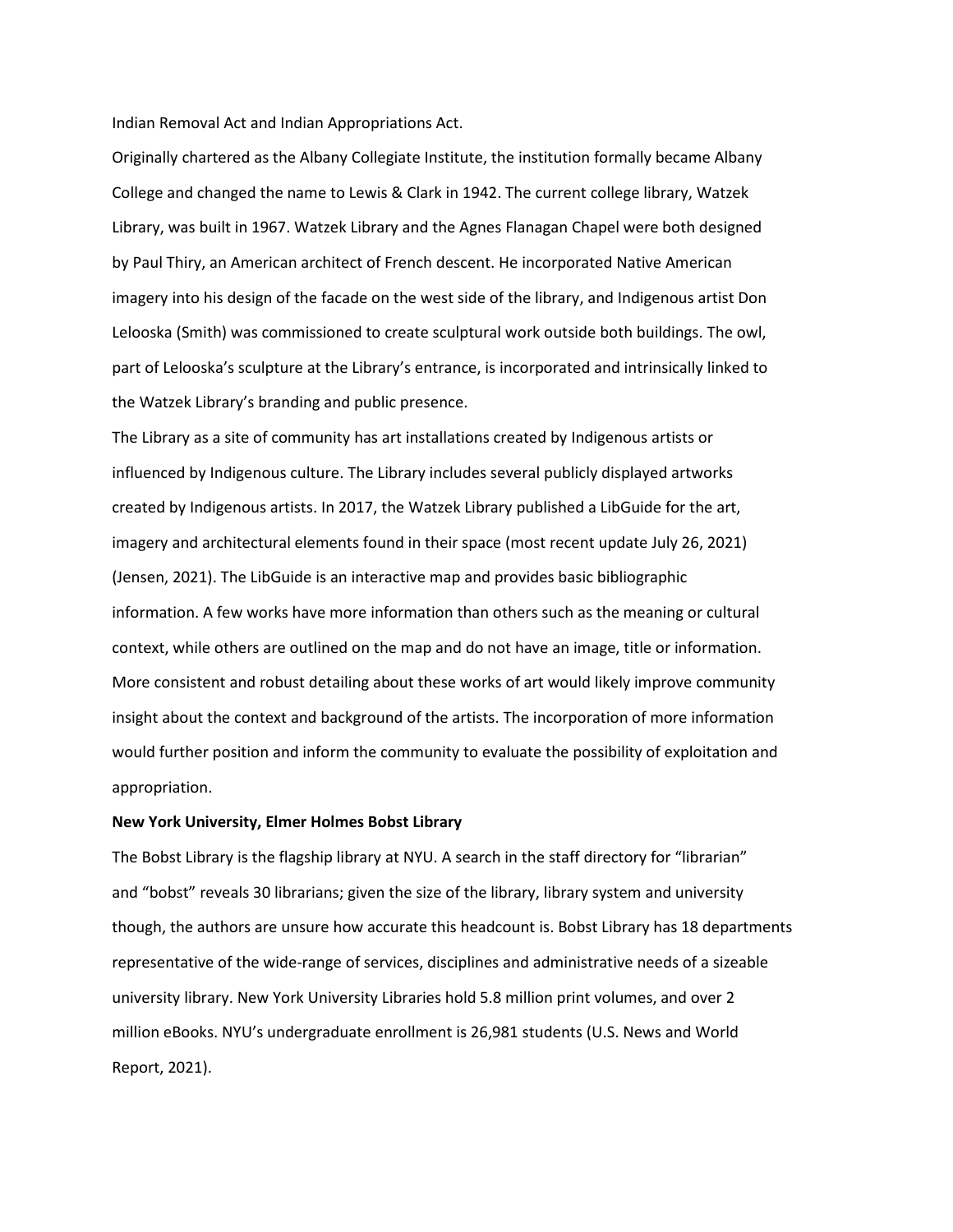Indian Removal Act and Indian Appropriations Act.

Originally chartered as the Albany Collegiate Institute, the institution formally became Albany College and changed the name to Lewis & Clark in 1942. The current college library, Watzek Library, was built in 1967. Watzek Library and the Agnes Flanagan Chapel were both designed by Paul Thiry, an American architect of French descent. He incorporated Native American imagery into his design of the facade on the west side of the library, and Indigenous artist Don Lelooska (Smith) was commissioned to create sculptural work outside both buildings. The owl, part of Lelooska's sculpture at the Library's entrance, is incorporated and intrinsically linked to the Watzek Library's branding and public presence.

The Library as a site of community has art installations created by Indigenous artists or influenced by Indigenous culture. The Library includes several publicly displayed artworks created by Indigenous artists. In 2017, the Watzek Library published a LibGuide for the art, imagery and architectural elements found in their space (most recent update July 26, 2021) (Jensen, 2021). The LibGuide is an interactive map and provides basic bibliographic information. A few works have more information than others such as the meaning or cultural context, while others are outlined on the map and do not have an image, title or information. More consistent and robust detailing about these works of art would likely improve community insight about the context and background of the artists. The incorporation of more information would further position and inform the community to evaluate the possibility of exploitation and appropriation.

# **New York University, Elmer Holmes Bobst Library**

The Bobst Library is the flagship library at NYU. A search in the staff directory for "librarian" and "bobst" reveals 30 librarians; given the size of the library, library system and university though, the authors are unsure how accurate this headcount is. Bobst Library has 18 departments representative of the wide-range of services, disciplines and administrative needs of a sizeable university library. New York University Libraries hold 5.8 million print volumes, and over 2 million eBooks. NYU's undergraduate enrollment is 26,981 students (U.S. News and World Report, 2021).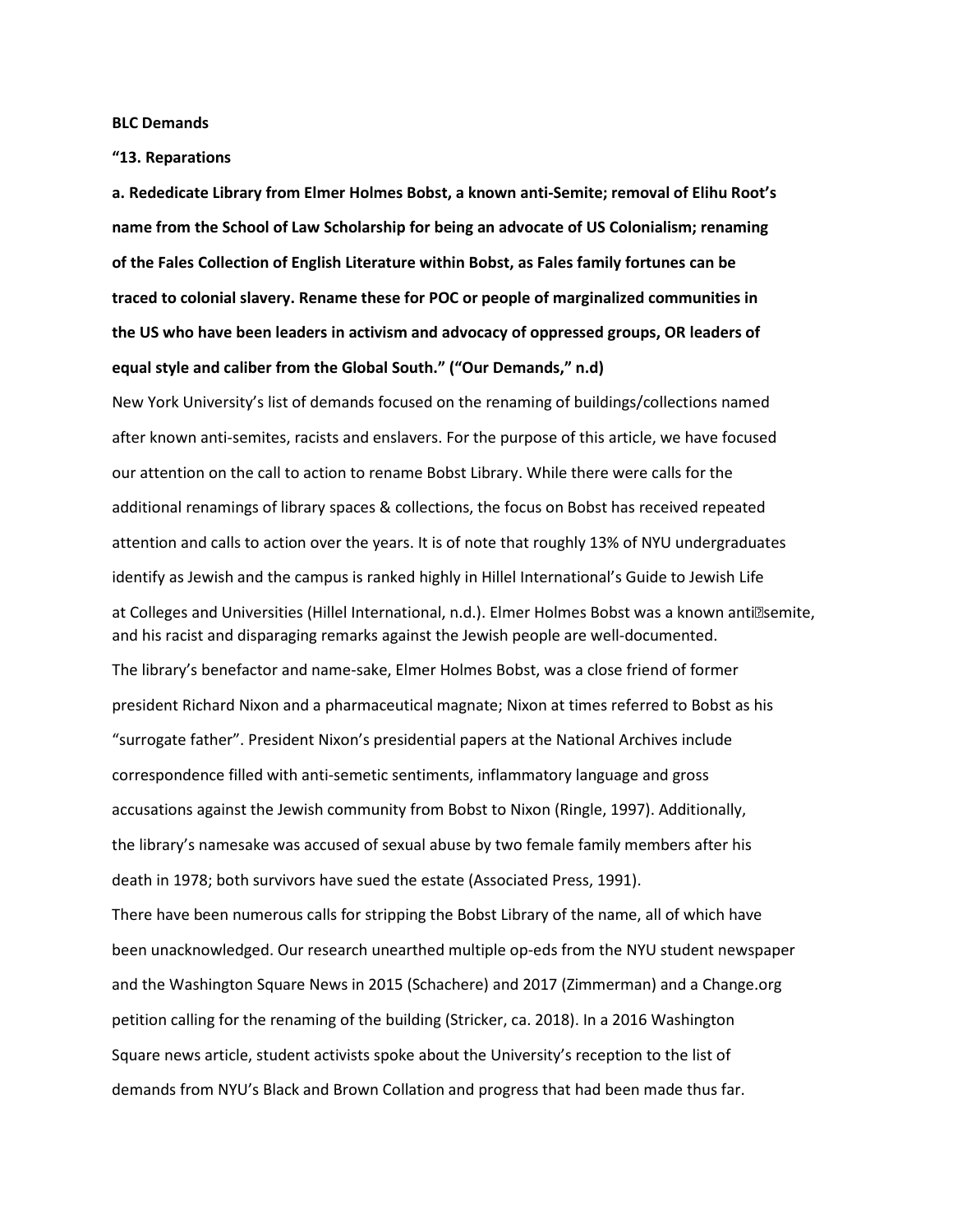**BLC Demands**

**"13. Reparations**

**a. Rededicate Library from Elmer Holmes Bobst, a known anti-Semite; removal of Elihu Root's name from the School of Law Scholarship for being an advocate of US Colonialism; renaming of the Fales Collection of English Literature within Bobst, as Fales family fortunes can be traced to colonial slavery. Rename these for POC or people of marginalized communities in the US who have been leaders in activism and advocacy of oppressed groups, OR leaders of equal style and caliber from the Global South." ("Our Demands," n.d)**

New York University's list of demands focused on the renaming of buildings/collections named after known anti-semites, racists and enslavers. For the purpose of this article, we have focused our attention on the call to action to rename Bobst Library. While there were calls for the additional renamings of library spaces & collections, the focus on Bobst has received repeated attention and calls to action over the years. It is of note that roughly 13% of NYU undergraduates identify as Jewish and the campus is ranked highly in Hillel International's Guide to Jewish Life at Colleges and Universities (Hillel International, n.d.). Elmer Holmes Bobst was a known anti<sup>n</sup>semite, and his racist and disparaging remarks against the Jewish people are well-documented.

The library's benefactor and name-sake, Elmer Holmes Bobst, was a close friend of former president Richard Nixon and a pharmaceutical magnate; Nixon at times referred to Bobst as his "surrogate father". President Nixon's presidential papers at the National Archives include correspondence filled with anti-semetic sentiments, inflammatory language and gross accusations against the Jewish community from Bobst to Nixon (Ringle, 1997). Additionally, the library's namesake was accused of sexual abuse by two female family members after his death in 1978; both survivors have sued the estate (Associated Press, 1991).

There have been numerous calls for stripping the Bobst Library of the name, all of which have been unacknowledged. Our research unearthed multiple op-eds from the NYU student newspaper and the Washington Square News in 2015 (Schachere) and 2017 (Zimmerman) and a Change.org petition calling for the renaming of the building (Stricker, ca. 2018). In a 2016 Washington Square news article, student activists spoke about the University's reception to the list of demands from NYU's Black and Brown Collation and progress that had been made thus far.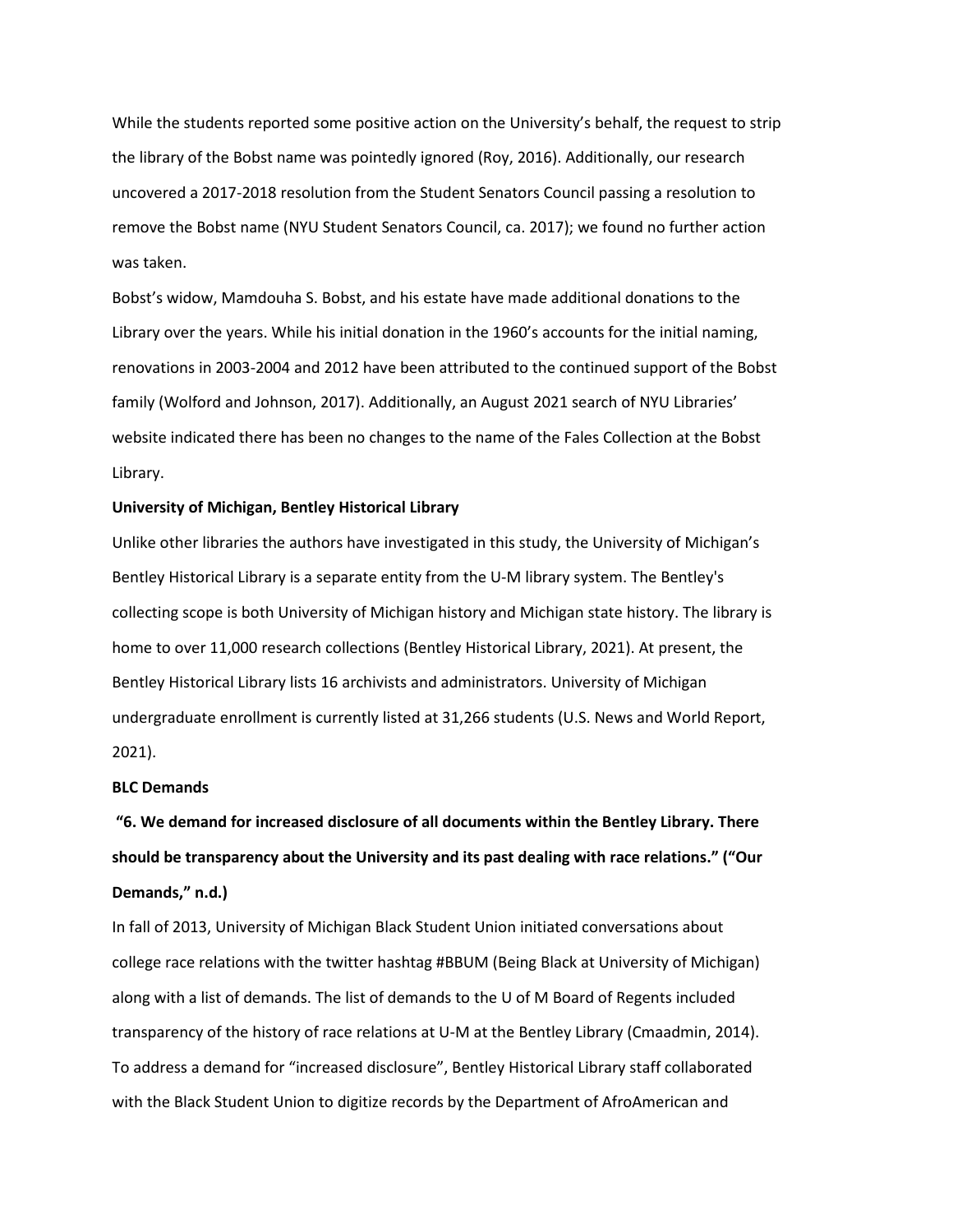While the students reported some positive action on the University's behalf, the request to strip the library of the Bobst name was pointedly ignored (Roy, 2016). Additionally, our research uncovered a 2017-2018 resolution from the Student Senators Council passing a resolution to remove the Bobst name (NYU Student Senators Council, ca. 2017); we found no further action was taken.

Bobst's widow, Mamdouha S. Bobst, and his estate have made additional donations to the Library over the years. While his initial donation in the 1960's accounts for the initial naming, renovations in 2003-2004 and 2012 have been attributed to the continued support of the Bobst family (Wolford and Johnson, 2017). Additionally, an August 2021 search of NYU Libraries' website indicated there has been no changes to the name of the Fales Collection at the Bobst Library.

### **University of Michigan, Bentley Historical Library**

Unlike other libraries the authors have investigated in this study, the University of Michigan's Bentley Historical Library is a separate entity from the U-M library system. The Bentley's collecting scope is both University of Michigan history and Michigan state history. The library is home to over 11,000 research collections (Bentley Historical Library, 2021). At present, the Bentley Historical Library lists 16 archivists and administrators. University of Michigan undergraduate enrollment is currently listed at 31,266 students (U.S. News and World Report, 2021).

# **BLC Demands**

**"6. We demand for increased disclosure of all documents within the Bentley Library. There should be transparency about the University and its past dealing with race relations." ("Our Demands," n.d.)**

In fall of 2013, University of Michigan Black Student Union initiated conversations about college race relations with the twitter hashtag #BBUM (Being Black at University of Michigan) along with a list of demands. The list of demands to the U of M Board of Regents included transparency of the history of race relations at U-M at the Bentley Library (Cmaadmin, 2014). To address a demand for "increased disclosure", Bentley Historical Library staff collaborated with the Black Student Union to digitize records by the Department of AfroAmerican and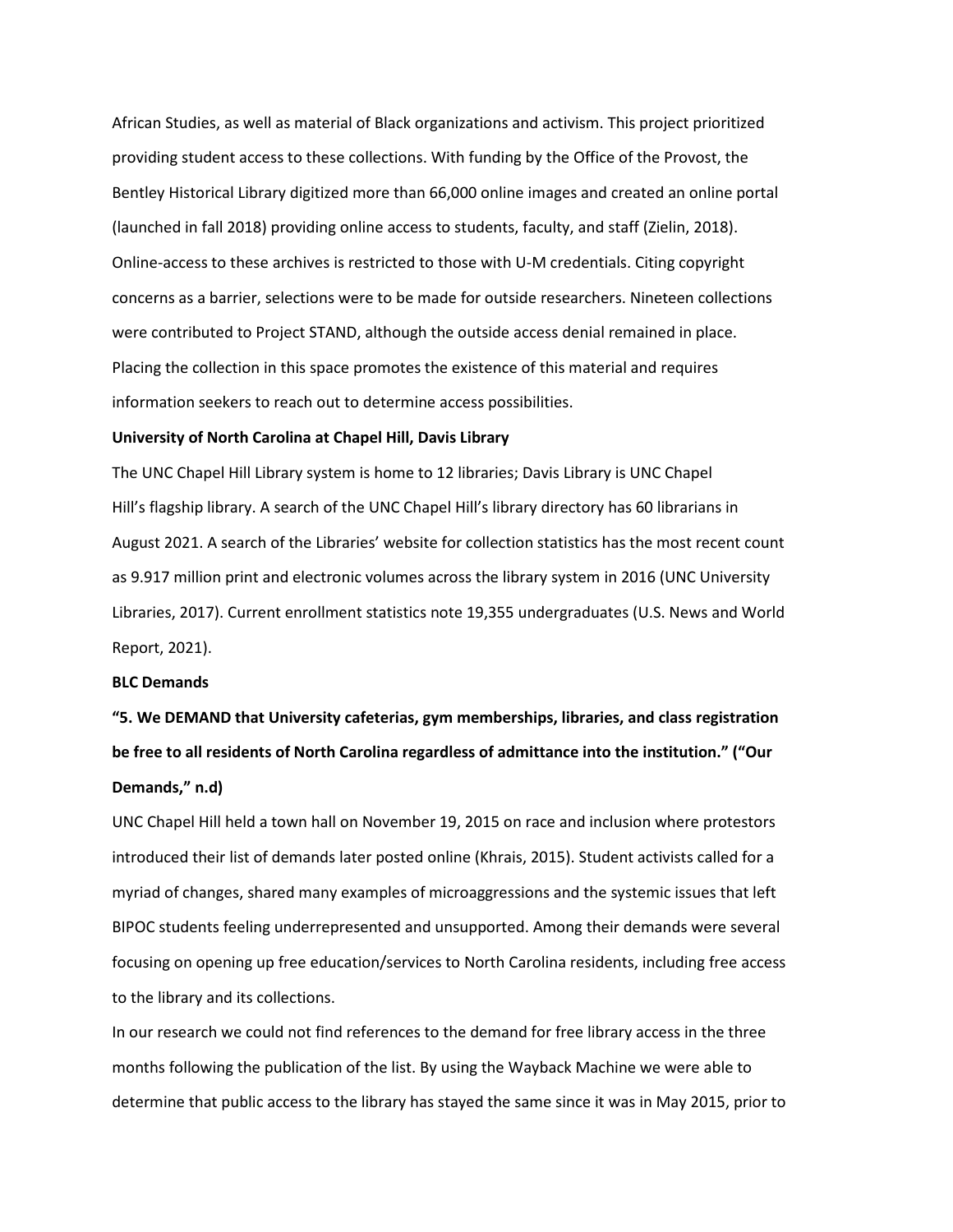African Studies, as well as material of Black organizations and activism. This project prioritized providing student access to these collections. With funding by the Office of the Provost, the Bentley Historical Library digitized more than 66,000 online images and created an online portal (launched in fall 2018) providing online access to students, faculty, and staff (Zielin, 2018). Online-access to these archives is restricted to those with U-M credentials. Citing copyright concerns as a barrier, selections were to be made for outside researchers. Nineteen collections were contributed to Project STAND, although the outside access denial remained in place. Placing the collection in this space promotes the existence of this material and requires information seekers to reach out to determine access possibilities.

# **University of North Carolina at Chapel Hill, Davis Library**

The UNC Chapel Hill Library system is home to 12 libraries; Davis Library is UNC Chapel Hill's flagship library. A search of the UNC Chapel Hill's library directory has 60 librarians in August 2021. A search of the Libraries' website for collection statistics has the most recent count as 9.917 million print and electronic volumes across the library system in 2016 (UNC University Libraries, 2017). Current enrollment statistics note 19,355 undergraduates (U.S. News and World Report, 2021).

# **BLC Demands**

**"5. We DEMAND that University cafeterias, gym memberships, libraries, and class registration be free to all residents of North Carolina regardless of admittance into the institution." ("Our Demands," n.d)**

UNC Chapel Hill held a town hall on November 19, 2015 on race and inclusion where protestors introduced their list of demands later posted online (Khrais, 2015). Student activists called for a myriad of changes, shared many examples of microaggressions and the systemic issues that left BIPOC students feeling underrepresented and unsupported. Among their demands were several focusing on opening up free education/services to North Carolina residents, including free access to the library and its collections.

In our research we could not find references to the demand for free library access in the three months following the publication of the list. By using the Wayback Machine we were able to determine that public access to the library has stayed the same since it was in May 2015, prior to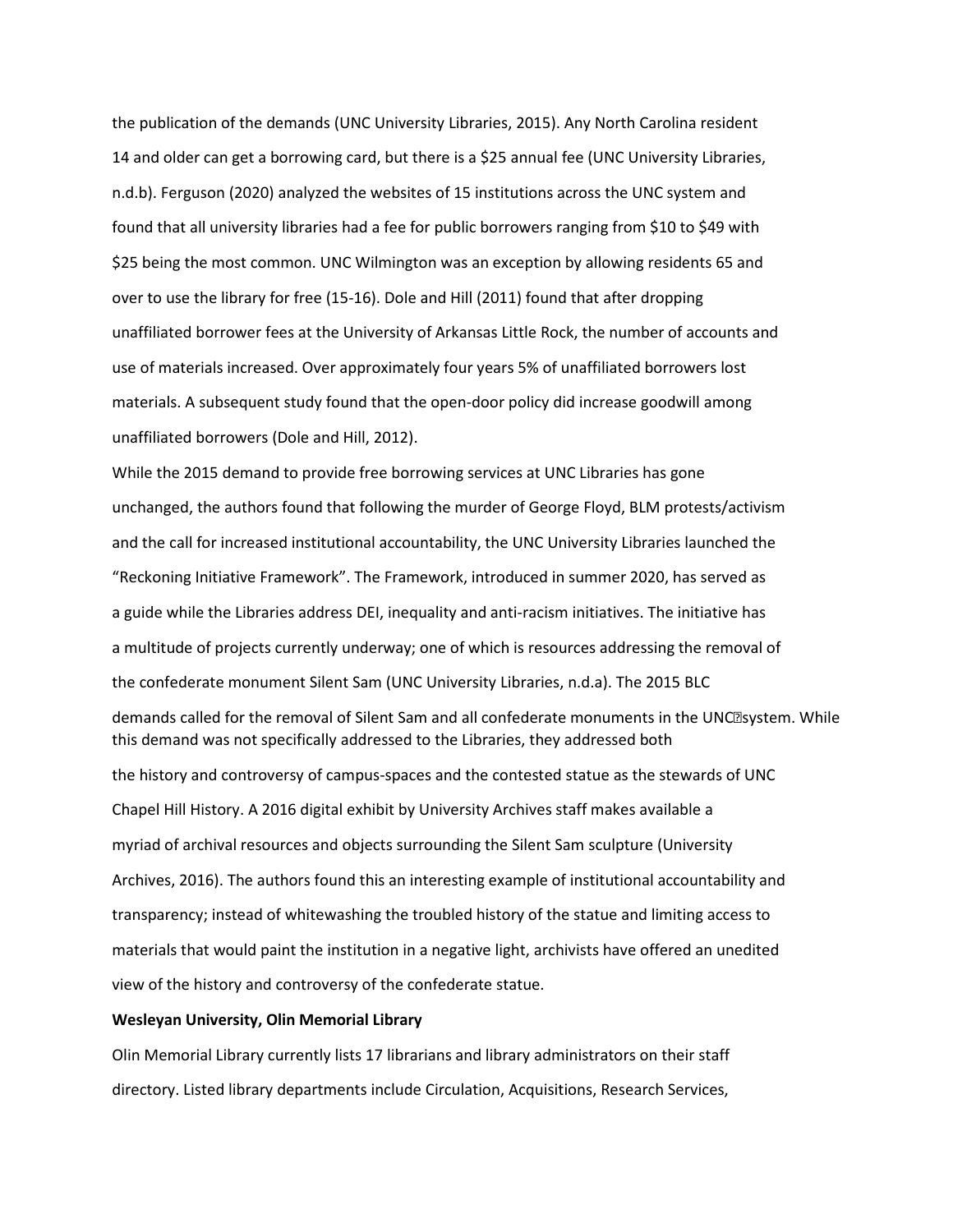the publication of the demands (UNC University Libraries, 2015). Any North Carolina resident 14 and older can get a borrowing card, but there is a \$25 annual fee (UNC University Libraries, n.d.b). Ferguson (2020) analyzed the websites of 15 institutions across the UNC system and found that all university libraries had a fee for public borrowers ranging from \$10 to \$49 with \$25 being the most common. UNC Wilmington was an exception by allowing residents 65 and over to use the library for free (15-16). Dole and Hill (2011) found that after dropping unaffiliated borrower fees at the University of Arkansas Little Rock, the number of accounts and use of materials increased. Over approximately four years 5% of unaffiliated borrowers lost materials. A subsequent study found that the open-door policy did increase goodwill among unaffiliated borrowers (Dole and Hill, 2012).

While the 2015 demand to provide free borrowing services at UNC Libraries has gone unchanged, the authors found that following the murder of George Floyd, BLM protests/activism and the call for increased institutional accountability, the UNC University Libraries launched the "Reckoning Initiative Framework". The Framework, introduced in summer 2020, has served as a guide while the Libraries address DEI, inequality and anti-racism initiatives. The initiative has a multitude of projects currently underway; one of which is resources addressing the removal of the confederate monument Silent Sam (UNC University Libraries, n.d.a). The 2015 BLC demands called for the removal of Silent Sam and all confederate monuments in the UNCasystem. While this demand was not specifically addressed to the Libraries, they addressed both the history and controversy of campus-spaces and the contested statue as the stewards of UNC Chapel Hill History. A 2016 digital exhibit by University Archives staff makes available a myriad of archival resources and objects surrounding the Silent Sam sculpture (University Archives, 2016). The authors found this an interesting example of institutional accountability and transparency; instead of whitewashing the troubled history of the statue and limiting access to materials that would paint the institution in a negative light, archivists have offered an unedited view of the history and controversy of the confederate statue.

# **Wesleyan University, Olin Memorial Library**

Olin Memorial Library currently lists 17 librarians and library administrators on their staff directory. Listed library departments include Circulation, Acquisitions, Research Services,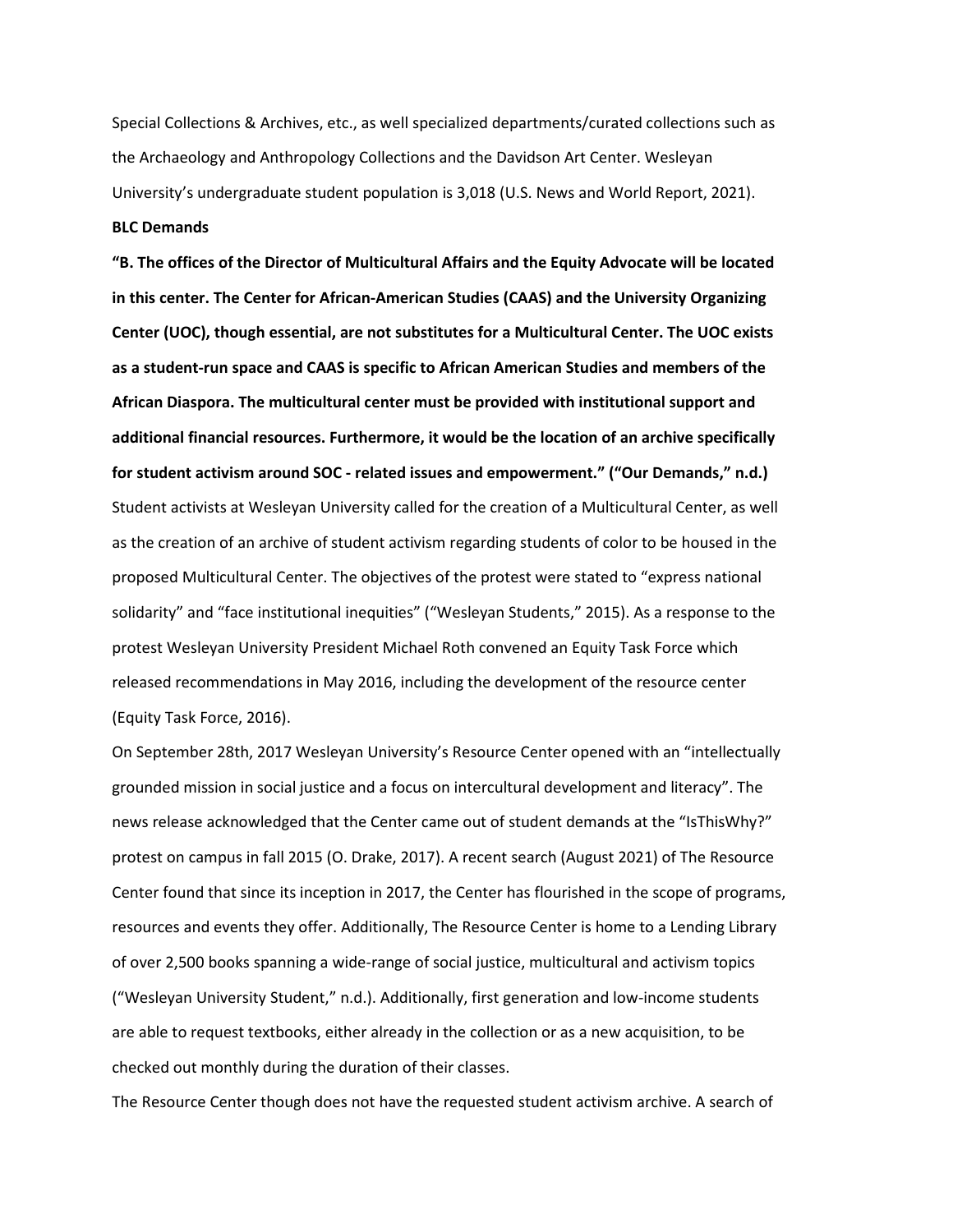Special Collections & Archives, etc., as well specialized departments/curated collections such as the Archaeology and Anthropology Collections and the Davidson Art Center. Wesleyan University's undergraduate student population is 3,018 (U.S. News and World Report, 2021). **BLC Demands**

**"B. The offices of the Director of Multicultural Affairs and the Equity Advocate will be located in this center. The Center for African-American Studies (CAAS) and the University Organizing Center (UOC), though essential, are not substitutes for a Multicultural Center. The UOC exists as a student-run space and CAAS is specific to African American Studies and members of the African Diaspora. The multicultural center must be provided with institutional support and additional financial resources. Furthermore, it would be the location of an archive specifically for student activism around SOC - related issues and empowerment." ("Our Demands," n.d.)** Student activists at Wesleyan University called for the creation of a Multicultural Center, as well as the creation of an archive of student activism regarding students of color to be housed in the proposed Multicultural Center. The objectives of the protest were stated to "express national solidarity" and "face institutional inequities" ("Wesleyan Students," 2015). As a response to the protest Wesleyan University President Michael Roth convened an Equity Task Force which released recommendations in May 2016, including the development of the resource center (Equity Task Force, 2016).

On September 28th, 2017 Wesleyan University's Resource Center opened with an "intellectually grounded mission in social justice and a focus on intercultural development and literacy". The news release acknowledged that the Center came out of student demands at the "IsThisWhy?" protest on campus in fall 2015 (O. Drake, 2017). A recent search (August 2021) of The Resource Center found that since its inception in 2017, the Center has flourished in the scope of programs, resources and events they offer. Additionally, The Resource Center is home to a Lending Library of over 2,500 books spanning a wide-range of social justice, multicultural and activism topics ("Wesleyan University Student," n.d.). Additionally, first generation and low-income students are able to request textbooks, either already in the collection or as a new acquisition, to be checked out monthly during the duration of their classes.

The Resource Center though does not have the requested student activism archive. A search of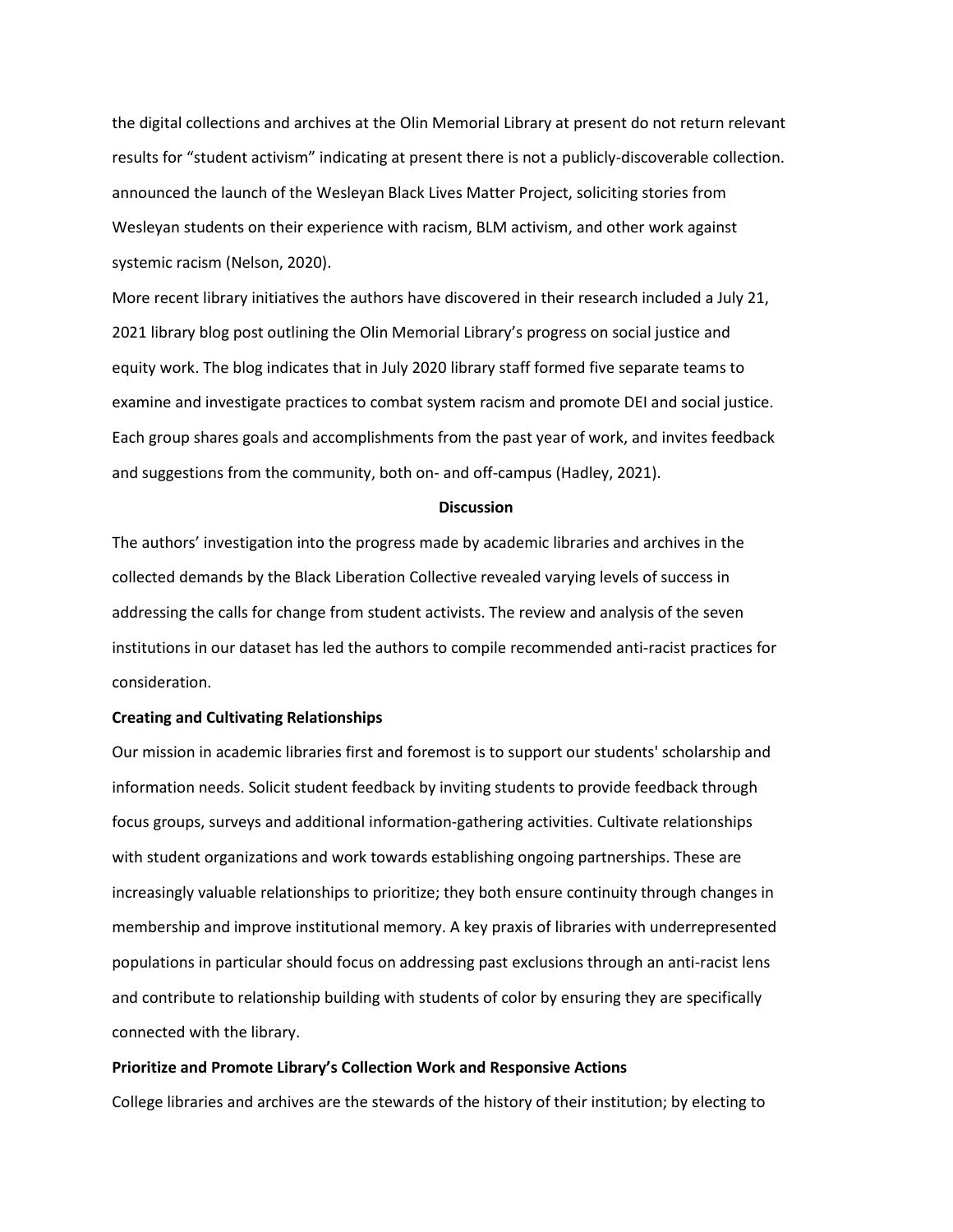the digital collections and archives at the Olin Memorial Library at present do not return relevant results for "student activism" indicating at present there is not a publicly-discoverable collection. announced the launch of the Wesleyan Black Lives Matter Project, soliciting stories from Wesleyan students on their experience with racism, BLM activism, and other work against systemic racism (Nelson, 2020).

More recent library initiatives the authors have discovered in their research included a July 21, 2021 library blog post outlining the Olin Memorial Library's progress on social justice and equity work. The blog indicates that in July 2020 library staff formed five separate teams to examine and investigate practices to combat system racism and promote DEI and social justice. Each group shares goals and accomplishments from the past year of work, and invites feedback and suggestions from the community, both on- and off-campus (Hadley, 2021).

## **Discussion**

The authors' investigation into the progress made by academic libraries and archives in the collected demands by the Black Liberation Collective revealed varying levels of success in addressing the calls for change from student activists. The review and analysis of the seven institutions in our dataset has led the authors to compile recommended anti-racist practices for consideration.

# **Creating and Cultivating Relationships**

Our mission in academic libraries first and foremost is to support our students' scholarship and information needs. Solicit student feedback by inviting students to provide feedback through focus groups, surveys and additional information-gathering activities. Cultivate relationships with student organizations and work towards establishing ongoing partnerships. These are increasingly valuable relationships to prioritize; they both ensure continuity through changes in membership and improve institutional memory. A key praxis of libraries with underrepresented populations in particular should focus on addressing past exclusions through an anti-racist lens and contribute to relationship building with students of color by ensuring they are specifically connected with the library.

# **Prioritize and Promote Library's Collection Work and Responsive Actions**

College libraries and archives are the stewards of the history of their institution; by electing to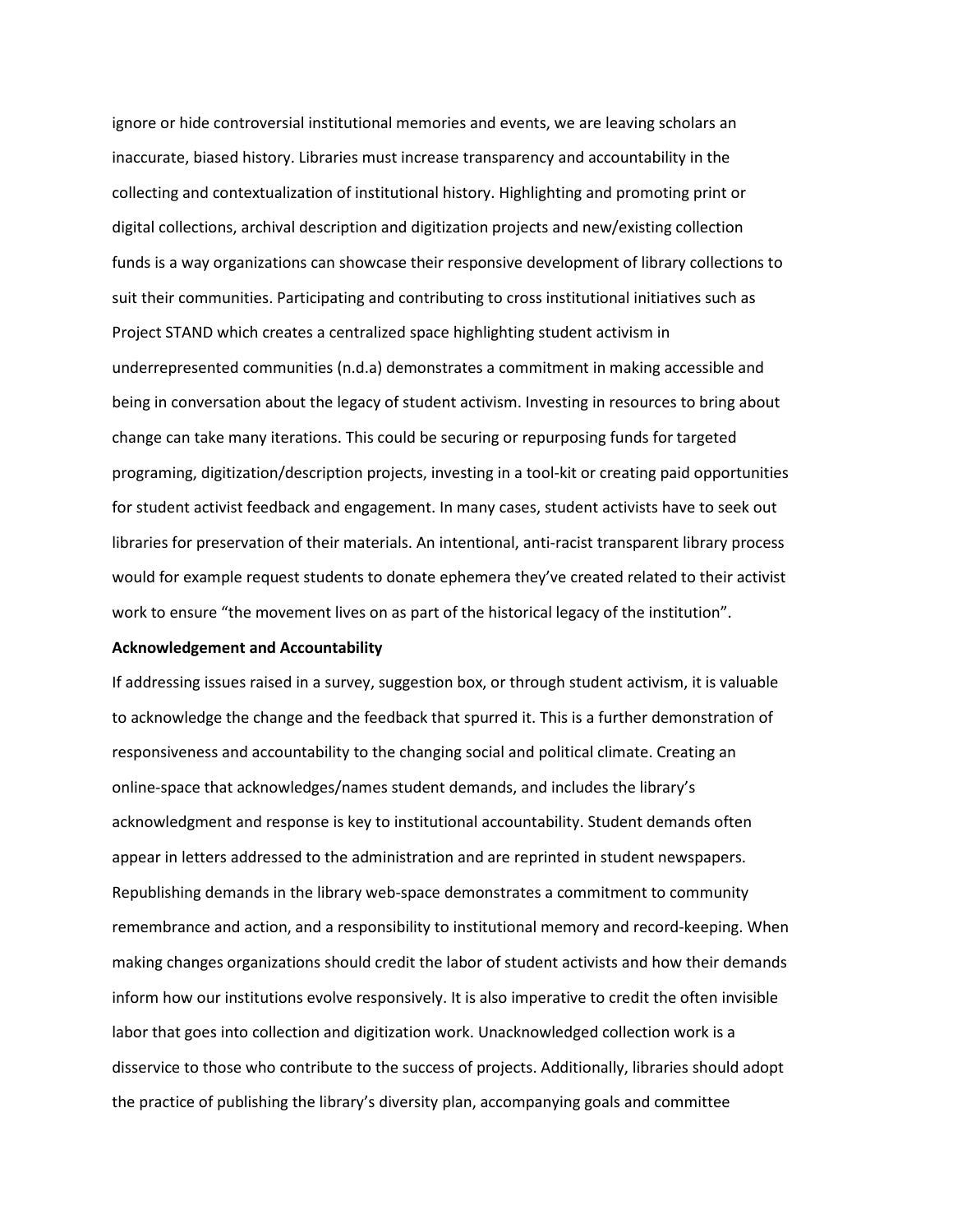ignore or hide controversial institutional memories and events, we are leaving scholars an inaccurate, biased history. Libraries must increase transparency and accountability in the collecting and contextualization of institutional history. Highlighting and promoting print or digital collections, archival description and digitization projects and new/existing collection funds is a way organizations can showcase their responsive development of library collections to suit their communities. Participating and contributing to cross institutional initiatives such as Project STAND which creates a centralized space highlighting student activism in underrepresented communities (n.d.a) demonstrates a commitment in making accessible and being in conversation about the legacy of student activism. Investing in resources to bring about change can take many iterations. This could be securing or repurposing funds for targeted programing, digitization/description projects, investing in a tool-kit or creating paid opportunities for student activist feedback and engagement. In many cases, student activists have to seek out libraries for preservation of their materials. An intentional, anti-racist transparent library process would for example request students to donate ephemera they've created related to their activist work to ensure "the movement lives on as part of the historical legacy of the institution".

#### **Acknowledgement and Accountability**

If addressing issues raised in a survey, suggestion box, or through student activism, it is valuable to acknowledge the change and the feedback that spurred it. This is a further demonstration of responsiveness and accountability to the changing social and political climate. Creating an online-space that acknowledges/names student demands, and includes the library's acknowledgment and response is key to institutional accountability. Student demands often appear in letters addressed to the administration and are reprinted in student newspapers. Republishing demands in the library web-space demonstrates a commitment to community remembrance and action, and a responsibility to institutional memory and record-keeping. When making changes organizations should credit the labor of student activists and how their demands inform how our institutions evolve responsively. It is also imperative to credit the often invisible labor that goes into collection and digitization work. Unacknowledged collection work is a disservice to those who contribute to the success of projects. Additionally, libraries should adopt the practice of publishing the library's diversity plan, accompanying goals and committee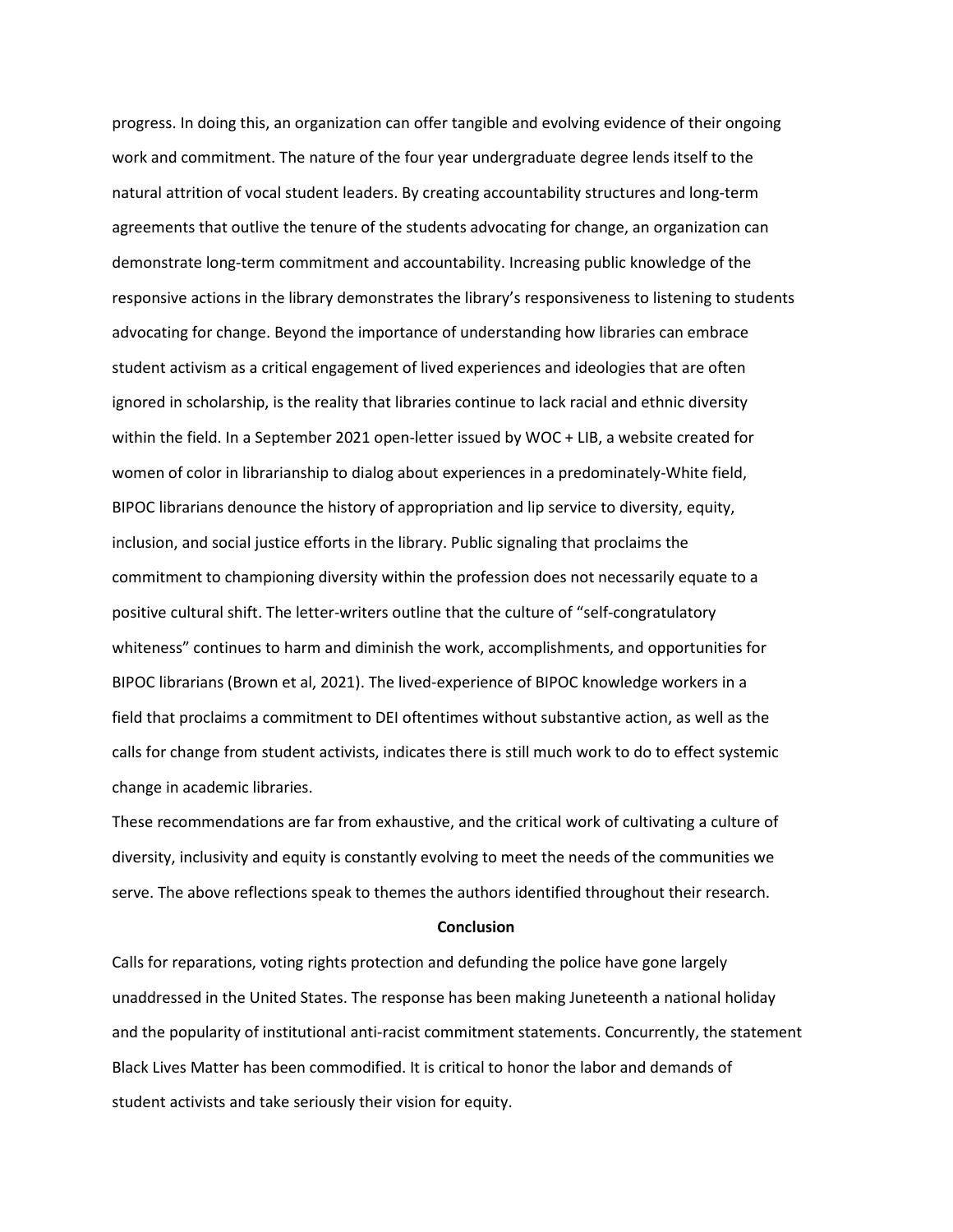progress. In doing this, an organization can offer tangible and evolving evidence of their ongoing work and commitment. The nature of the four year undergraduate degree lends itself to the natural attrition of vocal student leaders. By creating accountability structures and long-term agreements that outlive the tenure of the students advocating for change, an organization can demonstrate long-term commitment and accountability. Increasing public knowledge of the responsive actions in the library demonstrates the library's responsiveness to listening to students advocating for change. Beyond the importance of understanding how libraries can embrace student activism as a critical engagement of lived experiences and ideologies that are often ignored in scholarship, is the reality that libraries continue to lack racial and ethnic diversity within the field. In a September 2021 open-letter issued by WOC + LIB, a website created for women of color in librarianship to dialog about experiences in a predominately-White field, BIPOC librarians denounce the history of appropriation and lip service to diversity, equity, inclusion, and social justice efforts in the library. Public signaling that proclaims the commitment to championing diversity within the profession does not necessarily equate to a positive cultural shift. The letter-writers outline that the culture of "self-congratulatory whiteness" continues to harm and diminish the work, accomplishments, and opportunities for BIPOC librarians (Brown et al, 2021). The lived-experience of BIPOC knowledge workers in a field that proclaims a commitment to DEI oftentimes without substantive action, as well as the calls for change from student activists, indicates there is still much work to do to effect systemic change in academic libraries.

These recommendations are far from exhaustive, and the critical work of cultivating a culture of diversity, inclusivity and equity is constantly evolving to meet the needs of the communities we serve. The above reflections speak to themes the authors identified throughout their research.

#### **Conclusion**

Calls for reparations, voting rights protection and defunding the police have gone largely unaddressed in the United States. The response has been making Juneteenth a national holiday and the popularity of institutional anti-racist commitment statements. Concurrently, the statement Black Lives Matter has been commodified. It is critical to honor the labor and demands of student activists and take seriously their vision for equity.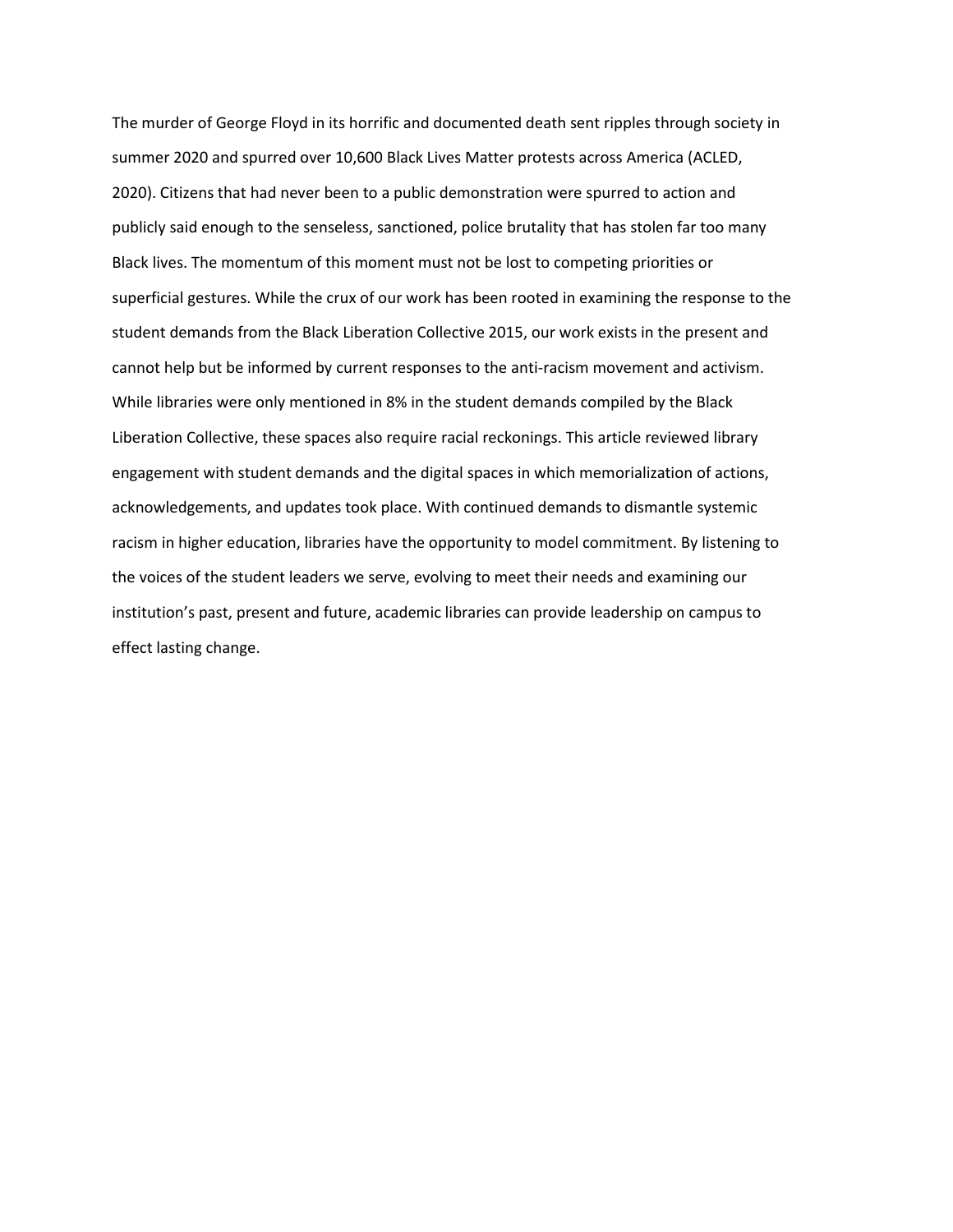The murder of George Floyd in its horrific and documented death sent ripples through society in summer 2020 and spurred over 10,600 Black Lives Matter protests across America (ACLED, 2020). Citizens that had never been to a public demonstration were spurred to action and publicly said enough to the senseless, sanctioned, police brutality that has stolen far too many Black lives. The momentum of this moment must not be lost to competing priorities or superficial gestures. While the crux of our work has been rooted in examining the response to the student demands from the Black Liberation Collective 2015, our work exists in the present and cannot help but be informed by current responses to the anti-racism movement and activism. While libraries were only mentioned in 8% in the student demands compiled by the Black Liberation Collective, these spaces also require racial reckonings. This article reviewed library engagement with student demands and the digital spaces in which memorialization of actions, acknowledgements, and updates took place. With continued demands to dismantle systemic racism in higher education, libraries have the opportunity to model commitment. By listening to the voices of the student leaders we serve, evolving to meet their needs and examining our institution's past, present and future, academic libraries can provide leadership on campus to effect lasting change.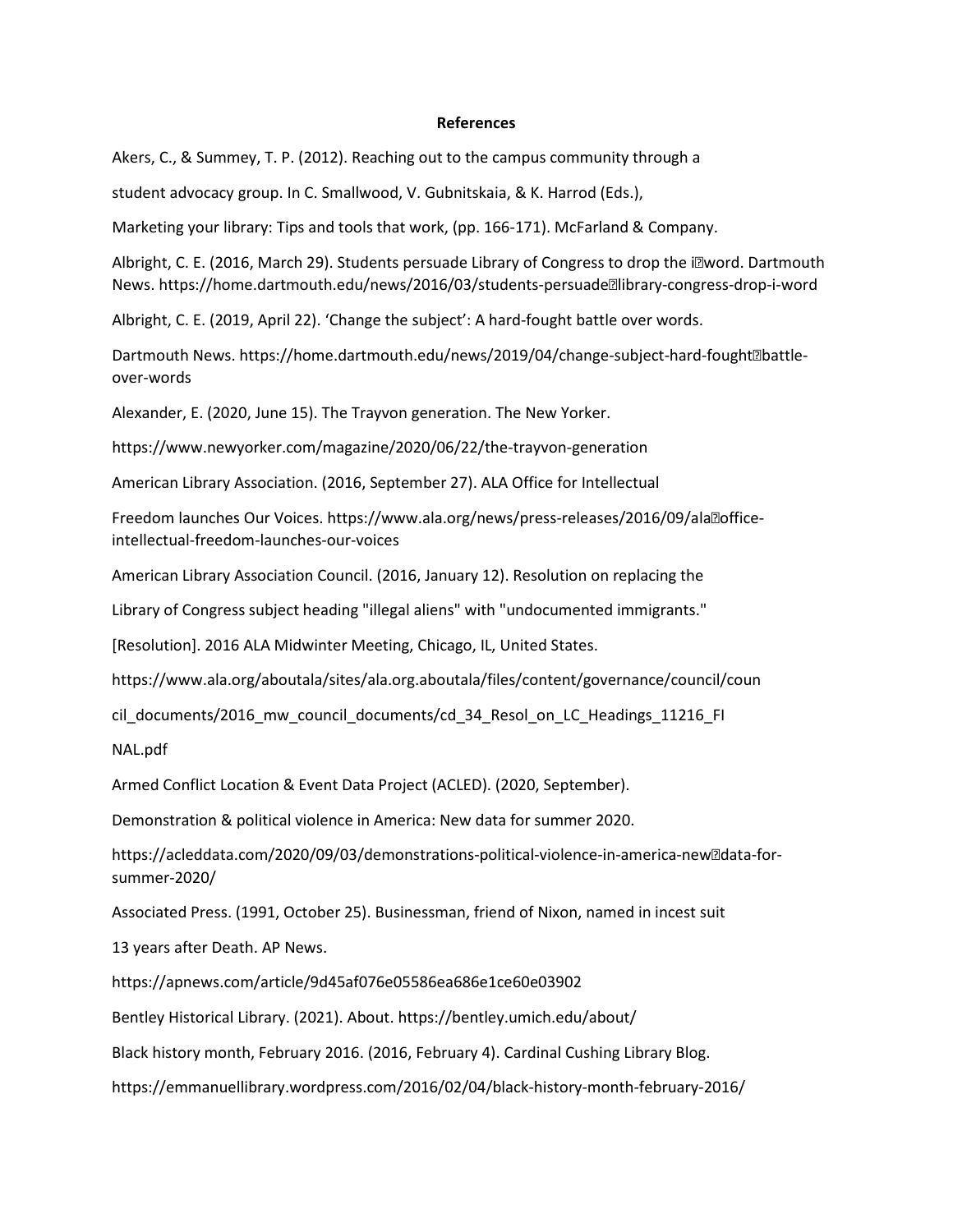## **References**

Akers, C., & Summey, T. P. (2012). Reaching out to the campus community through a

student advocacy group. In C. Smallwood, V. Gubnitskaia, & K. Harrod (Eds.),

Marketing your library: Tips and tools that work, (pp. 166-171). McFarland & Company.

Albright, C. E. (2016, March 29). Students persuade Library of Congress to drop the i $\mathbb Z$ word. Dartmouth News. https://home.dartmouth.edu/news/2016/03/students-persuade<sup>m</sup>library-congress-drop-i-word

Albright, C. E. (2019, April 22). 'Change the subject': A hard-fought battle over words.

Dartmouth News. https://home.dartmouth.edu/news/2019/04/change-subject-hard-fought<sup>m</sup>battleover-words

Alexander, E. (2020, June 15). The Trayvon generation. The New Yorker.

https://www.newyorker.com/magazine/2020/06/22/the-trayvon-generation

American Library Association. (2016, September 27). ALA Office for Intellectual

Freedom launches Our Voices. https://www.ala.org/news/press-releases/2016/09/ala<sup>m</sup>officeintellectual-freedom-launches-our-voices

American Library Association Council. (2016, January 12). Resolution on replacing the

Library of Congress subject heading "illegal aliens" with "undocumented immigrants."

[Resolution]. 2016 ALA Midwinter Meeting, Chicago, IL, United States.

https://www.ala.org/aboutala/sites/ala.org.aboutala/files/content/governance/council/coun

cil\_documents/2016\_mw\_council\_documents/cd\_34\_Resol\_on\_LC\_Headings\_11216\_FI

NAL.pdf

Armed Conflict Location & Event Data Project (ACLED). (2020, September).

Demonstration & political violence in America: New data for summer 2020.

https://acleddata.com/2020/09/03/demonstrations-political-violence-in-america-new**adata-for**summer-2020/

Associated Press. (1991, October 25). Businessman, friend of Nixon, named in incest suit

13 years after Death. AP News.

https://apnews.com/article/9d45af076e05586ea686e1ce60e03902

Bentley Historical Library. (2021). About. https://bentley.umich.edu/about/

Black history month, February 2016. (2016, February 4). Cardinal Cushing Library Blog.

https://emmanuellibrary.wordpress.com/2016/02/04/black-history-month-february-2016/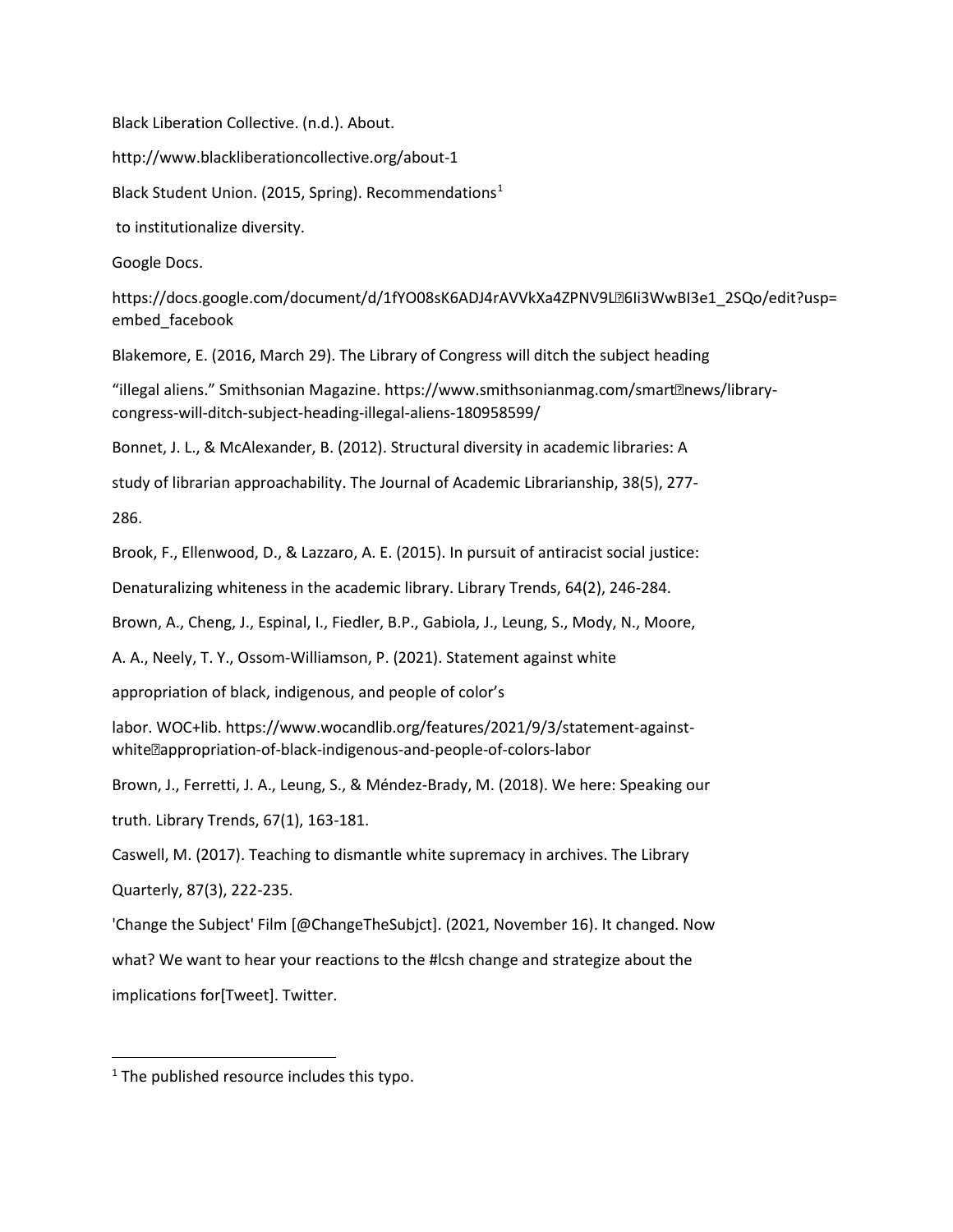Black Liberation Collective. (n.d.). About.

http://www.blackliberationcollective.org/about-1

Black Student Union. (20[1](#page-26-0)5, Spring). Recommendations<sup>1</sup>

to institutionalize diversity.

Google Docs.

https://docs.google.com/document/d/1fYO08sK6ADJ4rAVVkXa4ZPNV9L26Ii3WwBI3e1\_2SQo/edit?usp= embed\_facebook

Blakemore, E. (2016, March 29). The Library of Congress will ditch the subject heading

"illegal aliens." Smithsonian Magazine. https://www.smithsonianmag.com/smart@news/librarycongress-will-ditch-subject-heading-illegal-aliens-180958599/

Bonnet, J. L., & McAlexander, B. (2012). Structural diversity in academic libraries: A

study of librarian approachability. The Journal of Academic Librarianship, 38(5), 277-

286.

Brook, F., Ellenwood, D., & Lazzaro, A. E. (2015). In pursuit of antiracist social justice:

Denaturalizing whiteness in the academic library. Library Trends, 64(2), 246-284.

Brown, A., Cheng, J., Espinal, I., Fiedler, B.P., Gabiola, J., Leung, S., Mody, N., Moore,

A. A., Neely, T. Y., Ossom-Williamson, P. (2021). Statement against white

appropriation of black, indigenous, and people of color's

labor. WOC+lib. https://www.wocandlib.org/features/2021/9/3/statement-againstwhite**<b>appropriation-of-black-indigenous-and-people-of-colors-labor** 

Brown, J., Ferretti, J. A., Leung, S., & Méndez-Brady, M. (2018). We here: Speaking our

truth. Library Trends, 67(1), 163-181.

Caswell, M. (2017). Teaching to dismantle white supremacy in archives. The Library Quarterly, 87(3), 222-235.

'Change the Subject' Film [@ChangeTheSubjct]. (2021, November 16). It changed. Now what? We want to hear your reactions to the #lcsh change and strategize about the implications for[Tweet]. Twitter.

<span id="page-26-0"></span> $1$  The published resource includes this typo.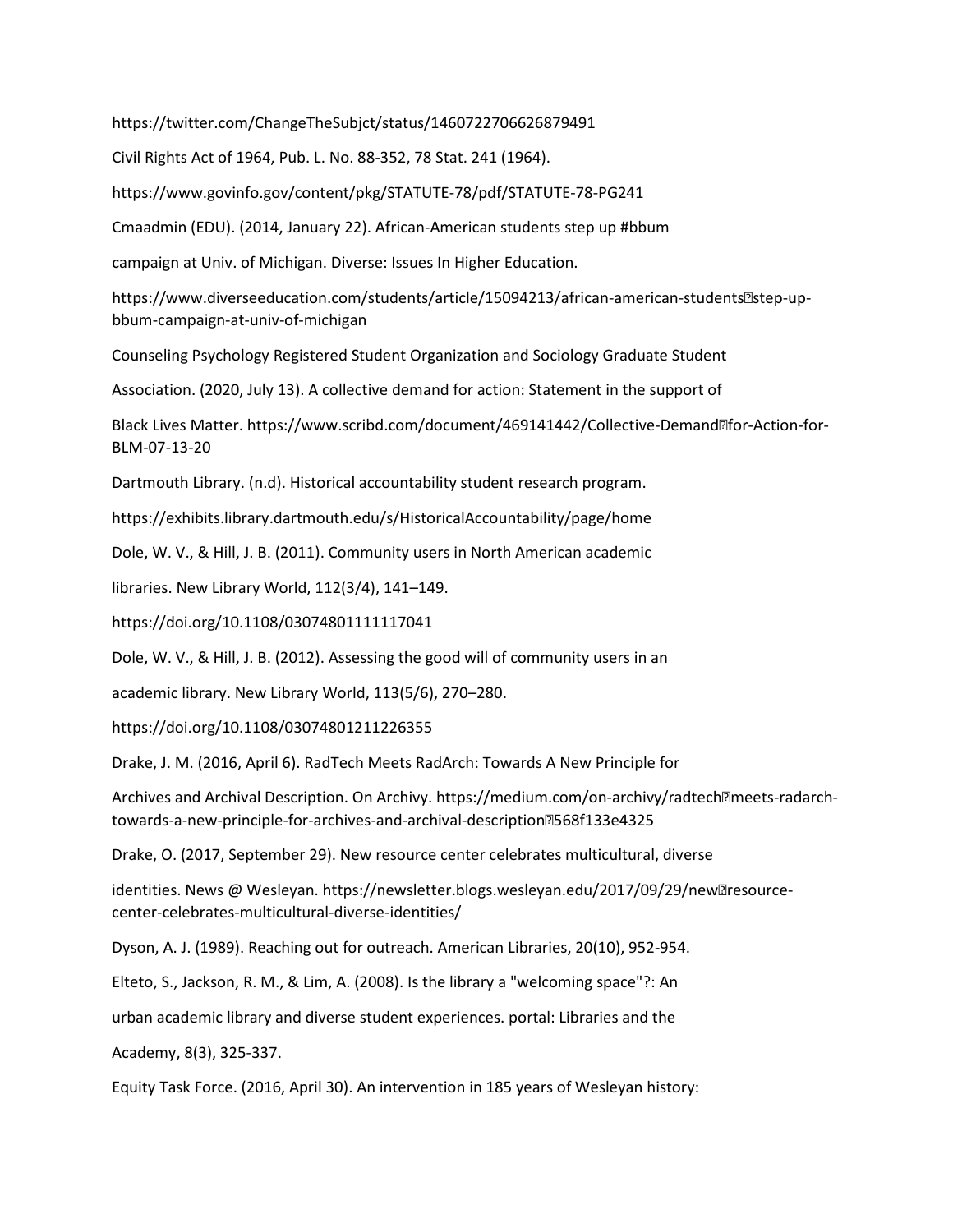https://twitter.com/ChangeTheSubjct/status/1460722706626879491

Civil Rights Act of 1964, Pub. L. No. 88-352, 78 Stat. 241 (1964).

https://www.govinfo.gov/content/pkg/STATUTE-78/pdf/STATUTE-78-PG241

Cmaadmin (EDU). (2014, January 22). African-American students step up #bbum

campaign at Univ. of Michigan. Diverse: Issues In Higher Education.

https://www.diverseeducation.com/students/article/15094213/african-american-students<a>[2]</a>step-upbbum-campaign-at-univ-of-michigan

Counseling Psychology Registered Student Organization and Sociology Graduate Student

Association. (2020, July 13). A collective demand for action: Statement in the support of

Black Lives Matter. https://www.scribd.com/document/469141442/Collective-Demand<sup>®</sup>for-Action-for-BLM-07-13-20

Dartmouth Library. (n.d). Historical accountability student research program.

https://exhibits.library.dartmouth.edu/s/HistoricalAccountability/page/home

Dole, W. V., & Hill, J. B. (2011). Community users in North American academic

libraries. New Library World, 112(3/4), 141–149.

https://doi.org/10.1108/03074801111117041

Dole, W. V., & Hill, J. B. (2012). Assessing the good will of community users in an

academic library. New Library World, 113(5/6), 270–280.

https://doi.org/10.1108/03074801211226355

Drake, J. M. (2016, April 6). RadTech Meets RadArch: Towards A New Principle for

Archives and Archival Description. On Archivy. https://medium.com/on-archivy/radtech**?meets-radarch**towards-a-new-principle-for-archives-and-archival-description-568f133e4325

Drake, O. (2017, September 29). New resource center celebrates multicultural, diverse

identities. News @ Wesleyan. https://newsletter.blogs.wesleyan.edu/2017/09/29/new@resourcecenter-celebrates-multicultural-diverse-identities/

Dyson, A. J. (1989). Reaching out for outreach. American Libraries, 20(10), 952-954.

Elteto, S., Jackson, R. M., & Lim, A. (2008). Is the library a "welcoming space"?: An

urban academic library and diverse student experiences. portal: Libraries and the

Academy, 8(3), 325-337.

Equity Task Force. (2016, April 30). An intervention in 185 years of Wesleyan history: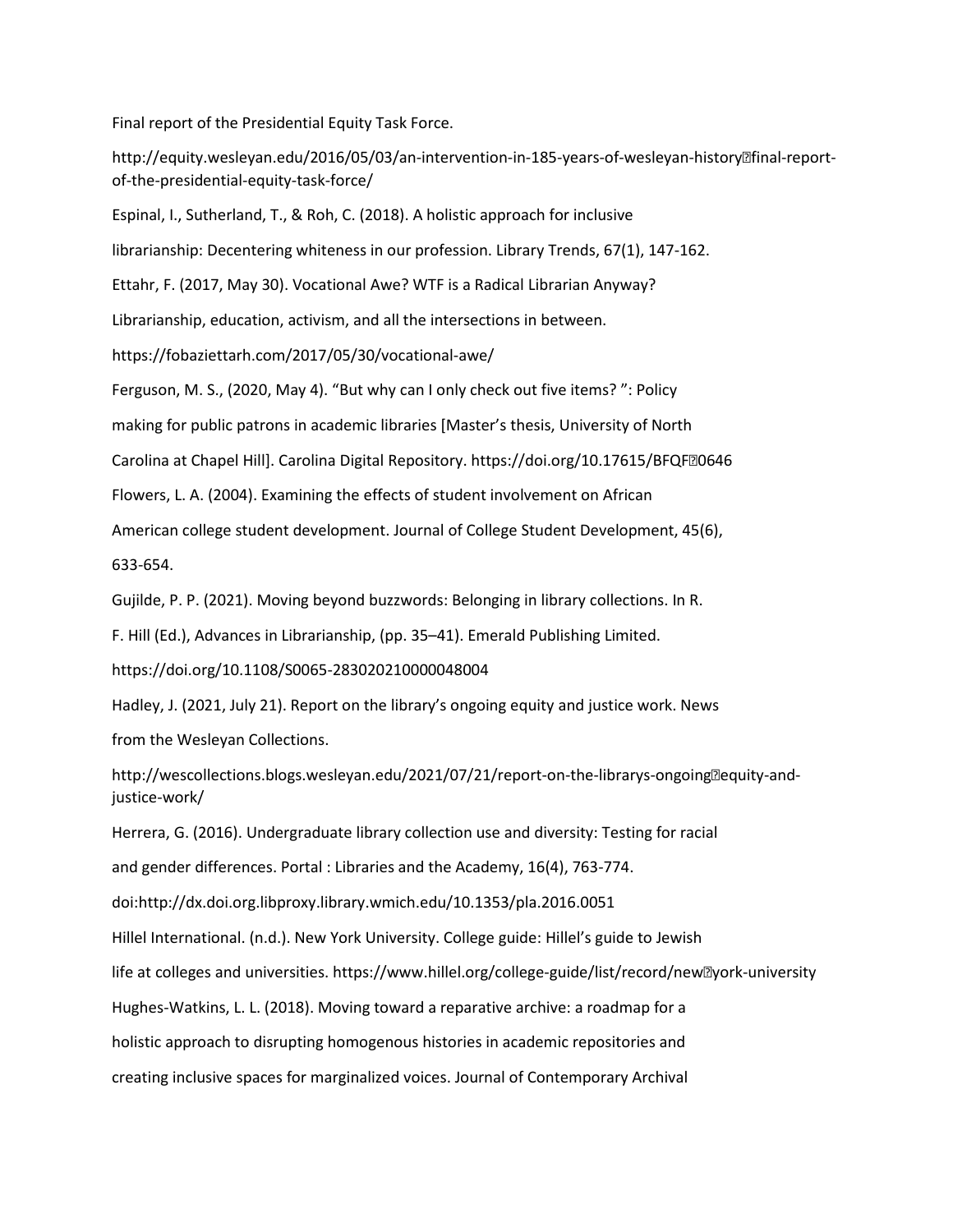Final report of the Presidential Equity Task Force.

http://equity.wesleyan.edu/2016/05/03/an-intervention-in-185-years-of-wesleyan-history-final-reportof-the-presidential-equity-task-force/

Espinal, I., Sutherland, T., & Roh, C. (2018). A holistic approach for inclusive

librarianship: Decentering whiteness in our profession. Library Trends, 67(1), 147-162.

Ettahr, F. (2017, May 30). Vocational Awe? WTF is a Radical Librarian Anyway?

Librarianship, education, activism, and all the intersections in between.

https://fobaziettarh.com/2017/05/30/vocational-awe/

Ferguson, M. S., (2020, May 4). "But why can I only check out five items? ": Policy

making for public patrons in academic libraries [Master's thesis, University of North

Carolina at Chapel Hill]. Carolina Digital Repository. https://doi.org/10.17615/BFQF20646

Flowers, L. A. (2004). Examining the effects of student involvement on African

American college student development. Journal of College Student Development, 45(6),

633-654.

Gujilde, P. P. (2021). Moving beyond buzzwords: Belonging in library collections. In R.

F. Hill (Ed.), Advances in Librarianship, (pp. 35–41). Emerald Publishing Limited.

https://doi.org/10.1108/S0065-283020210000048004

Hadley, J. (2021, July 21). Report on the library's ongoing equity and justice work. News

from the Wesleyan Collections.

http://wescollections.blogs.wesleyan.edu/2021/07/21/report-on-the-librarys-ongoing<sup>p</sup>equity-andjustice-work/

Herrera, G. (2016). Undergraduate library collection use and diversity: Testing for racial

and gender differences. Portal : Libraries and the Academy, 16(4), 763-774.

doi:http://dx.doi.org.libproxy.library.wmich.edu/10.1353/pla.2016.0051

Hillel International. (n.d.). New York University. College guide: Hillel's guide to Jewish

life at colleges and universities. https://www.hillel.org/college-guide/list/record/new<sup>®</sup>york-university

Hughes-Watkins, L. L. (2018). Moving toward a reparative archive: a roadmap for a

holistic approach to disrupting homogenous histories in academic repositories and

creating inclusive spaces for marginalized voices. Journal of Contemporary Archival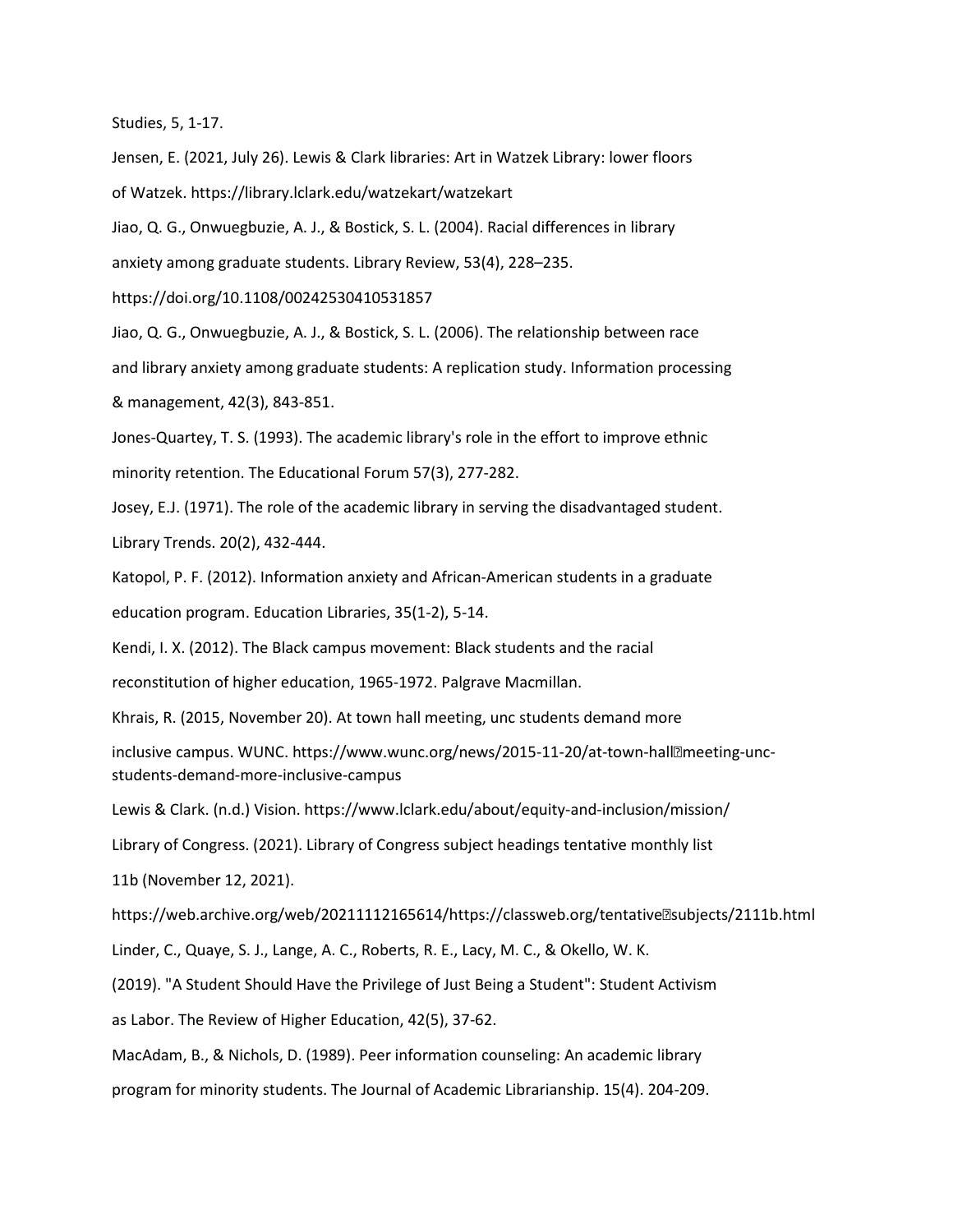Studies, 5, 1-17.

Jensen, E. (2021, July 26). Lewis & Clark libraries: Art in Watzek Library: lower floors of Watzek. https://library.lclark.edu/watzekart/watzekart

Jiao, Q. G., Onwuegbuzie, A. J., & Bostick, S. L. (2004). Racial differences in library

anxiety among graduate students. Library Review, 53(4), 228–235.

https://doi.org/10.1108/00242530410531857

Jiao, Q. G., Onwuegbuzie, A. J., & Bostick, S. L. (2006). The relationship between race and library anxiety among graduate students: A replication study. Information processing & management, 42(3), 843-851.

Jones-Quartey, T. S. (1993). The academic library's role in the effort to improve ethnic

minority retention. The Educational Forum 57(3), 277-282.

Josey, E.J. (1971). The role of the academic library in serving the disadvantaged student.

Library Trends. 20(2), 432-444.

Katopol, P. F. (2012). Information anxiety and African-American students in a graduate education program. Education Libraries, 35(1-2), 5-14.

Kendi, I. X. (2012). The Black campus movement: Black students and the racial

reconstitution of higher education, 1965-1972. Palgrave Macmillan.

Khrais, R. (2015, November 20). At town hall meeting, unc students demand more

inclusive campus. WUNC. https://www.wunc.org/news/2015-11-20/at-town-hallameeting-uncstudents-demand-more-inclusive-campus

Lewis & Clark. (n.d.) Vision. https://www.lclark.edu/about/equity-and-inclusion/mission/

Library of Congress. (2021). Library of Congress subject headings tentative monthly list

11b (November 12, 2021).

https://web.archive.org/web/20211112165614/https://classweb.org/tentative?subjects/2111b.html

Linder, C., Quaye, S. J., Lange, A. C., Roberts, R. E., Lacy, M. C., & Okello, W. K.

(2019). "A Student Should Have the Privilege of Just Being a Student": Student Activism

as Labor. The Review of Higher Education, 42(5), 37-62.

MacAdam, B., & Nichols, D. (1989). Peer information counseling: An academic library

program for minority students. The Journal of Academic Librarianship. 15(4). 204-209.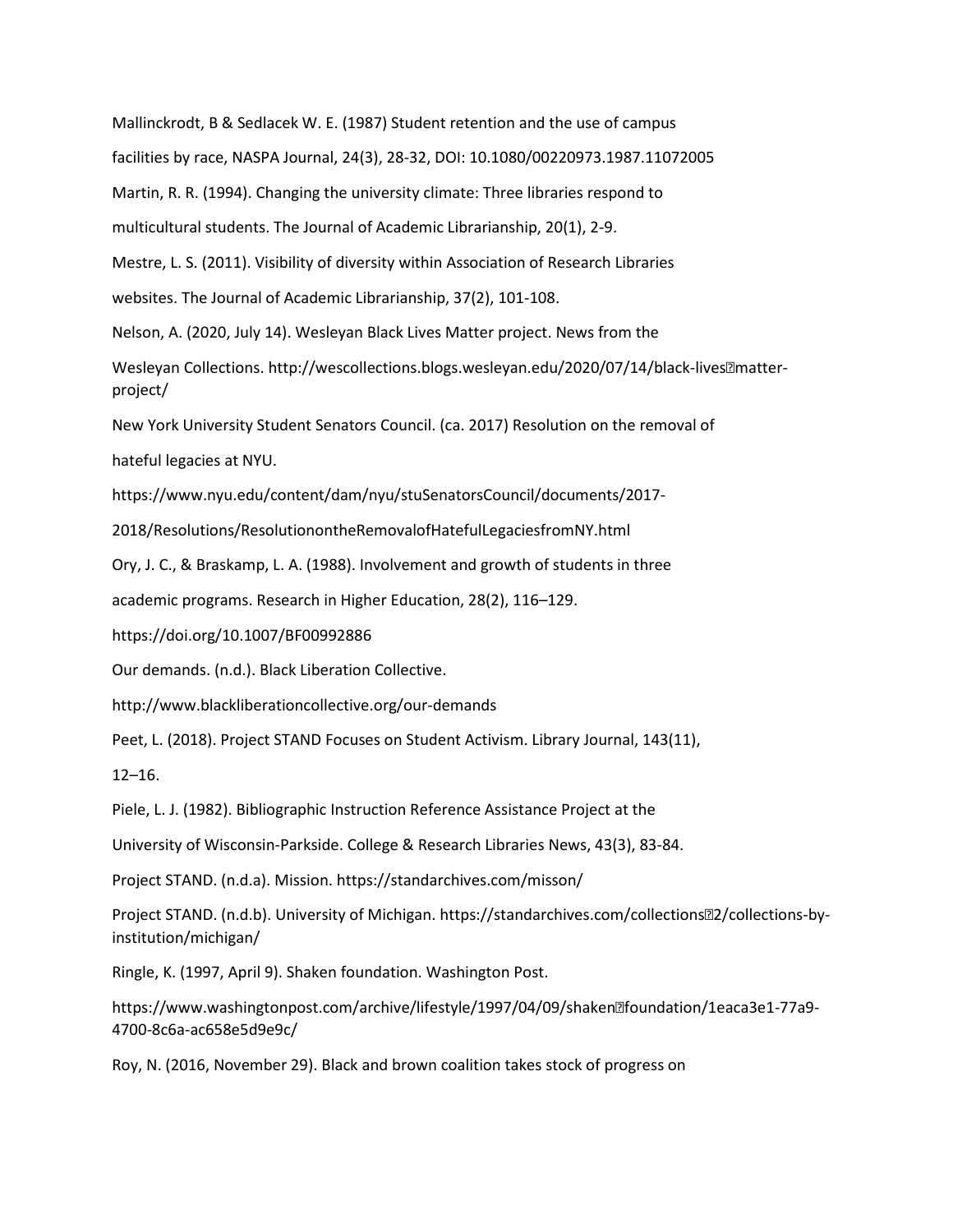Mallinckrodt, B & Sedlacek W. E. (1987) Student retention and the use of campus

facilities by race, NASPA Journal, 24(3), 28-32, DOI: 10.1080/00220973.1987.11072005

Martin, R. R. (1994). Changing the university climate: Three libraries respond to

multicultural students. The Journal of Academic Librarianship, 20(1), 2-9.

Mestre, L. S. (2011). Visibility of diversity within Association of Research Libraries

websites. The Journal of Academic Librarianship, 37(2), 101-108.

Nelson, A. (2020, July 14). Wesleyan Black Lives Matter project. News from the

Wesleyan Collections. http://wescollections.blogs.wesleyan.edu/2020/07/14/black-lives<sup>matter-</sup> project/

New York University Student Senators Council. (ca. 2017) Resolution on the removal of

hateful legacies at NYU.

https://www.nyu.edu/content/dam/nyu/stuSenatorsCouncil/documents/2017-

2018/Resolutions/ResolutionontheRemovalofHatefulLegaciesfromNY.html

Ory, J. C., & Braskamp, L. A. (1988). Involvement and growth of students in three

academic programs. Research in Higher Education, 28(2), 116–129.

https://doi.org/10.1007/BF00992886

Our demands. (n.d.). Black Liberation Collective.

http://www.blackliberationcollective.org/our-demands

Peet, L. (2018). Project STAND Focuses on Student Activism. Library Journal, 143(11),

12–16.

Piele, L. J. (1982). Bibliographic Instruction Reference Assistance Project at the

University of Wisconsin-Parkside. College & Research Libraries News, 43(3), 83-84.

Project STAND. (n.d.a). Mission. https://standarchives.com/misson/

Project STAND. (n.d.b). University of Michigan. https://standarchives.com/collections-2/collections-byinstitution/michigan/

Ringle, K. (1997, April 9). Shaken foundation. Washington Post.

https://www.washingtonpost.com/archive/lifestyle/1997/04/09/shaken<sup>m</sup>foundation/1eaca3e1-77a9-4700-8c6a-ac658e5d9e9c/

Roy, N. (2016, November 29). Black and brown coalition takes stock of progress on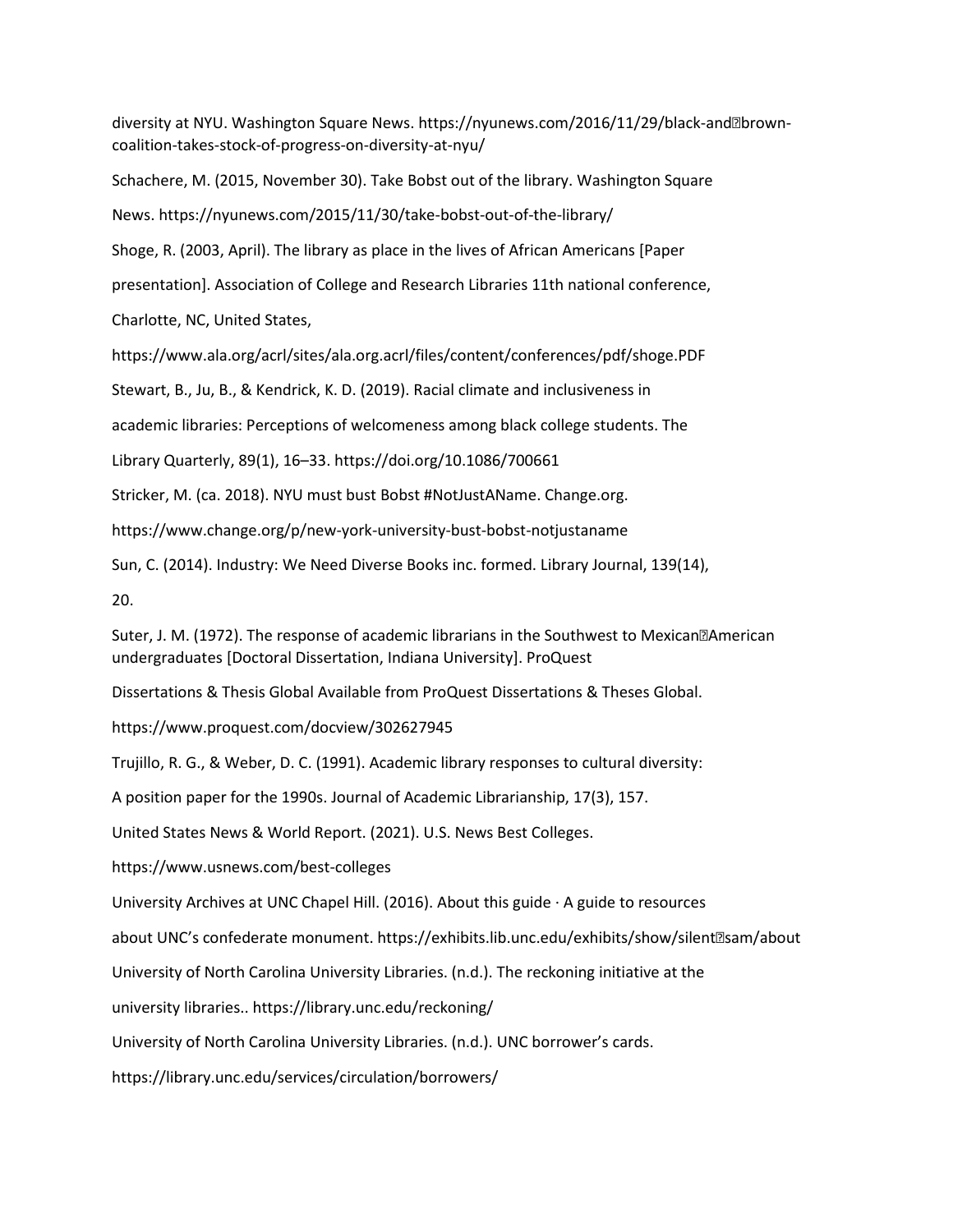diversity at NYU. Washington Square News. https://nyunews.com/2016/11/29/black-and@browncoalition-takes-stock-of-progress-on-diversity-at-nyu/

Schachere, M. (2015, November 30). Take Bobst out of the library. Washington Square

News. https://nyunews.com/2015/11/30/take-bobst-out-of-the-library/

Shoge, R. (2003, April). The library as place in the lives of African Americans [Paper

presentation]. Association of College and Research Libraries 11th national conference,

Charlotte, NC, United States,

https://www.ala.org/acrl/sites/ala.org.acrl/files/content/conferences/pdf/shoge.PDF

Stewart, B., Ju, B., & Kendrick, K. D. (2019). Racial climate and inclusiveness in

academic libraries: Perceptions of welcomeness among black college students. The

Library Quarterly, 89(1), 16–33. https://doi.org/10.1086/700661

Stricker, M. (ca. 2018). NYU must bust Bobst #NotJustAName. Change.org.

https://www.change.org/p/new-york-university-bust-bobst-notjustaname

Sun, C. (2014). Industry: We Need Diverse Books inc. formed. Library Journal, 139(14),

20.

Suter, J. M. (1972). The response of academic librarians in the Southwest to Mexican<sup>®</sup>American undergraduates [Doctoral Dissertation, Indiana University]. ProQuest

Dissertations & Thesis Global Available from ProQuest Dissertations & Theses Global.

https://www.proquest.com/docview/302627945

Trujillo, R. G., & Weber, D. C. (1991). Academic library responses to cultural diversity:

A position paper for the 1990s. Journal of Academic Librarianship, 17(3), 157.

United States News & World Report. (2021). U.S. News Best Colleges.

https://www.usnews.com/best-colleges

University Archives at UNC Chapel Hill. (2016). About this guide  $\cdot$  A guide to resources

about UNC's confederate monument. https://exhibits.lib.unc.edu/exhibits/show/silent-sam/about

University of North Carolina University Libraries. (n.d.). The reckoning initiative at the

university libraries.. https://library.unc.edu/reckoning/

University of North Carolina University Libraries. (n.d.). UNC borrower's cards.

https://library.unc.edu/services/circulation/borrowers/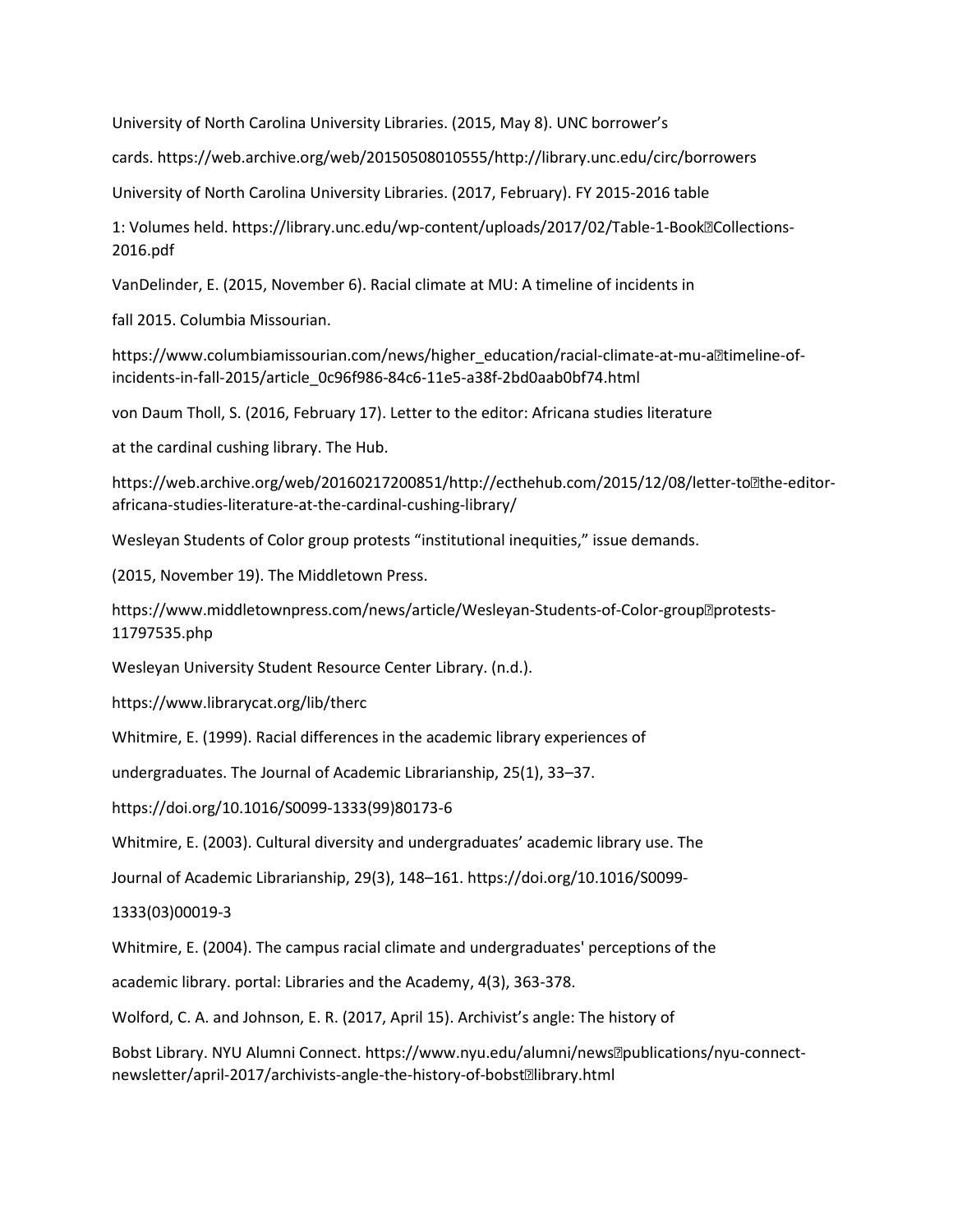University of North Carolina University Libraries. (2015, May 8). UNC borrower's

cards. https://web.archive.org/web/20150508010555/http://library.unc.edu/circ/borrowers

University of North Carolina University Libraries. (2017, February). FY 2015-2016 table

1: Volumes held. https://library.unc.edu/wp-content/uploads/2017/02/Table-1-Book**?Collections-**2016.pdf

VanDelinder, E. (2015, November 6). Racial climate at MU: A timeline of incidents in

fall 2015. Columbia Missourian.

https://www.columbiamissourian.com/news/higher\_education/racial-climate-at-mu-alltimeline-ofincidents-in-fall-2015/article\_0c96f986-84c6-11e5-a38f-2bd0aab0bf74.html

von Daum Tholl, S. (2016, February 17). Letter to the editor: Africana studies literature

at the cardinal cushing library. The Hub.

https://web.archive.org/web/20160217200851/http://ecthehub.com/2015/12/08/letter-to?the-editorafricana-studies-literature-at-the-cardinal-cushing-library/

Wesleyan Students of Color group protests "institutional inequities," issue demands.

(2015, November 19). The Middletown Press.

https://www.middletownpress.com/news/article/Wesleyan-Students-of-Color-group??protests-11797535.php

Wesleyan University Student Resource Center Library. (n.d.).

https://www.librarycat.org/lib/therc

Whitmire, E. (1999). Racial differences in the academic library experiences of

undergraduates. The Journal of Academic Librarianship, 25(1), 33–37.

https://doi.org/10.1016/S0099-1333(99)80173-6

Whitmire, E. (2003). Cultural diversity and undergraduates' academic library use. The

Journal of Academic Librarianship, 29(3), 148–161. https://doi.org/10.1016/S0099-

1333(03)00019-3

Whitmire, E. (2004). The campus racial climate and undergraduates' perceptions of the

academic library. portal: Libraries and the Academy, 4(3), 363-378.

Wolford, C. A. and Johnson, E. R. (2017, April 15). Archivist's angle: The history of

Bobst Library. NYU Alumni Connect. https://www.nyu.edu/alumni/news?publications/nyu-connectnewsletter/april-2017/archivists-angle-the-history-of-bobstalibrary.html